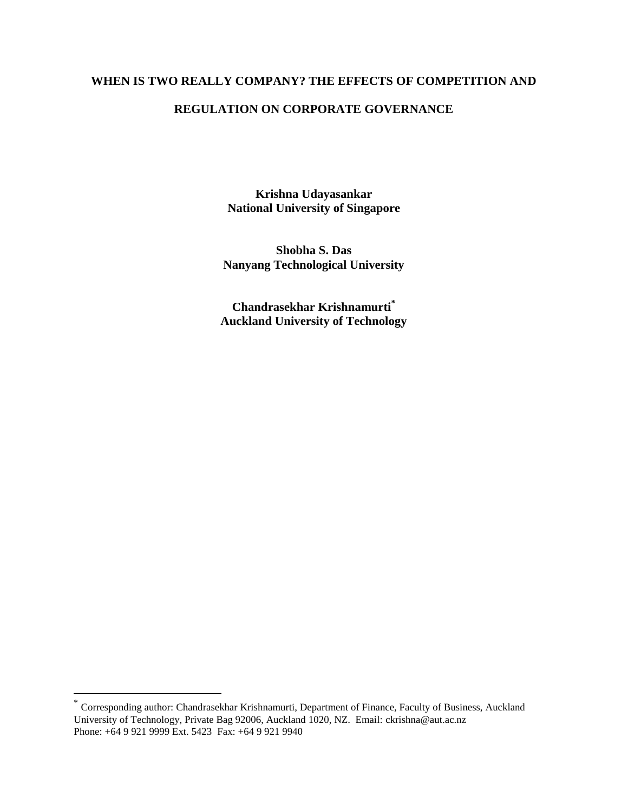### **WHEN IS TWO REALLY COMPANY? THE EFFECTS OF COMPETITION AND**

### **REGULATION ON CORPORATE GOVERNANCE**

**Krishna Udayasankar National University of Singapore**

**Shobha S. Das Nanyang Technological University**

**Chandrasekhar Krishnamurti\* Auckland University of Technology**

 $\overline{a}$ 

<sup>\*</sup> Corresponding author: Chandrasekhar Krishnamurti, Department of Finance, Faculty of Business, Auckland University of Technology, Private Bag 92006, Auckland 1020, NZ. Email: ckrishna@aut.ac.nz Phone: +64 9 921 9999 Ext. 5423 Fax: +64 9 921 9940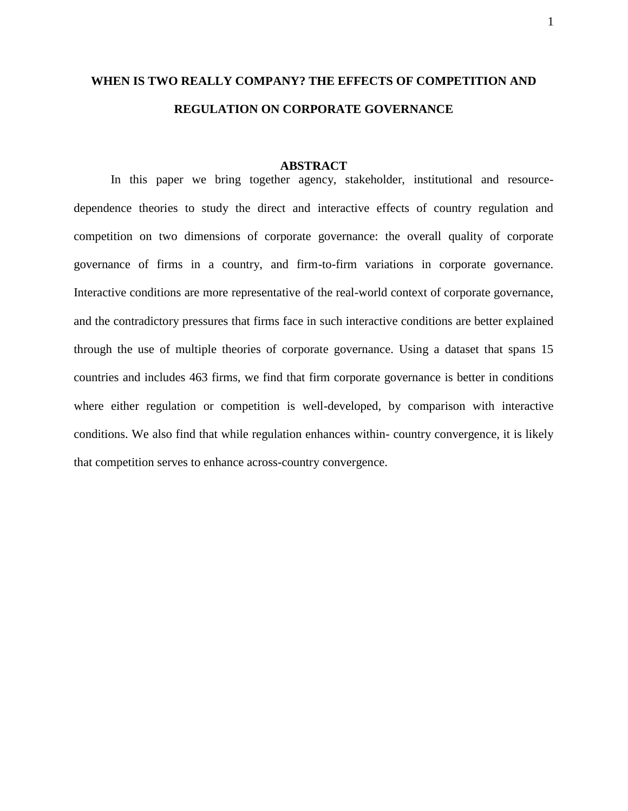# **WHEN IS TWO REALLY COMPANY? THE EFFECTS OF COMPETITION AND REGULATION ON CORPORATE GOVERNANCE**

#### **ABSTRACT**

In this paper we bring together agency, stakeholder, institutional and resourcedependence theories to study the direct and interactive effects of country regulation and competition on two dimensions of corporate governance: the overall quality of corporate governance of firms in a country, and firm-to-firm variations in corporate governance. Interactive conditions are more representative of the real-world context of corporate governance, and the contradictory pressures that firms face in such interactive conditions are better explained through the use of multiple theories of corporate governance. Using a dataset that spans 15 countries and includes 463 firms, we find that firm corporate governance is better in conditions where either regulation or competition is well-developed, by comparison with interactive conditions. We also find that while regulation enhances within- country convergence, it is likely that competition serves to enhance across-country convergence.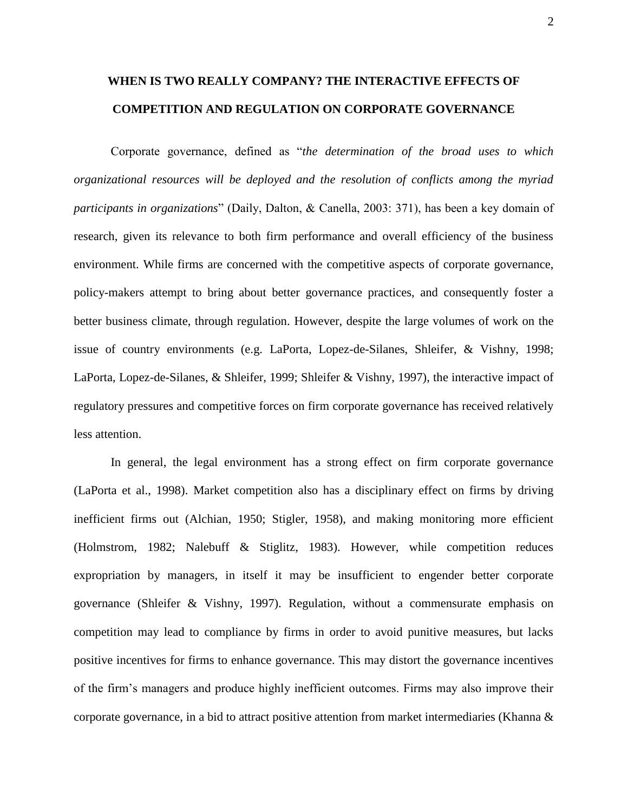# **WHEN IS TWO REALLY COMPANY? THE INTERACTIVE EFFECTS OF COMPETITION AND REGULATION ON CORPORATE GOVERNANCE**

Corporate governance, defined as "*the determination of the broad uses to which organizational resources will be deployed and the resolution of conflicts among the myriad participants in organizations*" (Daily, Dalton, & Canella, 2003: 371), has been a key domain of research, given its relevance to both firm performance and overall efficiency of the business environment. While firms are concerned with the competitive aspects of corporate governance, policy-makers attempt to bring about better governance practices, and consequently foster a better business climate, through regulation. However, despite the large volumes of work on the issue of country environments (e.g. LaPorta, Lopez-de-Silanes, Shleifer, & Vishny, 1998; LaPorta, Lopez-de-Silanes, & Shleifer, 1999; Shleifer & Vishny, 1997), the interactive impact of regulatory pressures and competitive forces on firm corporate governance has received relatively less attention.

In general, the legal environment has a strong effect on firm corporate governance (LaPorta et al., 1998). Market competition also has a disciplinary effect on firms by driving inefficient firms out (Alchian, 1950; Stigler, 1958), and making monitoring more efficient (Holmstrom, 1982; Nalebuff & Stiglitz, 1983). However, while competition reduces expropriation by managers, in itself it may be insufficient to engender better corporate governance (Shleifer & Vishny, 1997). Regulation, without a commensurate emphasis on competition may lead to compliance by firms in order to avoid punitive measures, but lacks positive incentives for firms to enhance governance. This may distort the governance incentives of the firm"s managers and produce highly inefficient outcomes. Firms may also improve their corporate governance, in a bid to attract positive attention from market intermediaries (Khanna &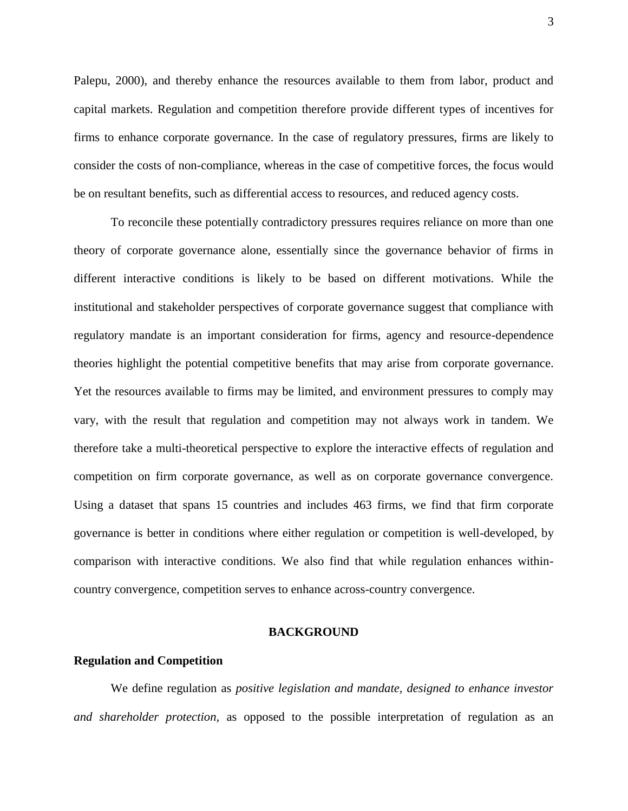Palepu, 2000), and thereby enhance the resources available to them from labor, product and capital markets. Regulation and competition therefore provide different types of incentives for firms to enhance corporate governance. In the case of regulatory pressures, firms are likely to consider the costs of non-compliance, whereas in the case of competitive forces, the focus would be on resultant benefits, such as differential access to resources, and reduced agency costs.

To reconcile these potentially contradictory pressures requires reliance on more than one theory of corporate governance alone, essentially since the governance behavior of firms in different interactive conditions is likely to be based on different motivations. While the institutional and stakeholder perspectives of corporate governance suggest that compliance with regulatory mandate is an important consideration for firms, agency and resource-dependence theories highlight the potential competitive benefits that may arise from corporate governance. Yet the resources available to firms may be limited, and environment pressures to comply may vary, with the result that regulation and competition may not always work in tandem. We therefore take a multi-theoretical perspective to explore the interactive effects of regulation and competition on firm corporate governance, as well as on corporate governance convergence. Using a dataset that spans 15 countries and includes 463 firms, we find that firm corporate governance is better in conditions where either regulation or competition is well-developed, by comparison with interactive conditions. We also find that while regulation enhances withincountry convergence, competition serves to enhance across-country convergence.

### **BACKGROUND**

### **Regulation and Competition**

We define regulation as *positive legislation and mandate, designed to enhance investor and shareholder protection,* as opposed to the possible interpretation of regulation as an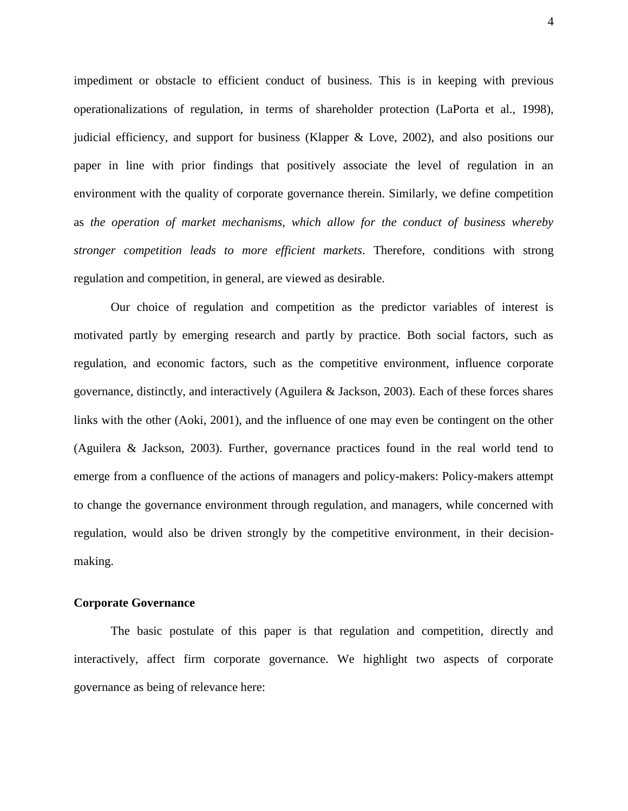impediment or obstacle to efficient conduct of business. This is in keeping with previous operationalizations of regulation, in terms of shareholder protection (LaPorta et al., 1998), judicial efficiency, and support for business (Klapper & Love, 2002), and also positions our paper in line with prior findings that positively associate the level of regulation in an environment with the quality of corporate governance therein. Similarly, we define competition as *the operation of market mechanisms, which allow for the conduct of business whereby stronger competition leads to more efficient markets*. Therefore, conditions with strong regulation and competition, in general, are viewed as desirable.

Our choice of regulation and competition as the predictor variables of interest is motivated partly by emerging research and partly by practice. Both social factors, such as regulation, and economic factors, such as the competitive environment, influence corporate governance, distinctly, and interactively (Aguilera & Jackson, 2003). Each of these forces shares links with the other (Aoki, 2001), and the influence of one may even be contingent on the other (Aguilera & Jackson, 2003). Further, governance practices found in the real world tend to emerge from a confluence of the actions of managers and policy-makers: Policy-makers attempt to change the governance environment through regulation, and managers, while concerned with regulation, would also be driven strongly by the competitive environment, in their decisionmaking.

### **Corporate Governance**

The basic postulate of this paper is that regulation and competition, directly and interactively, affect firm corporate governance. We highlight two aspects of corporate governance as being of relevance here: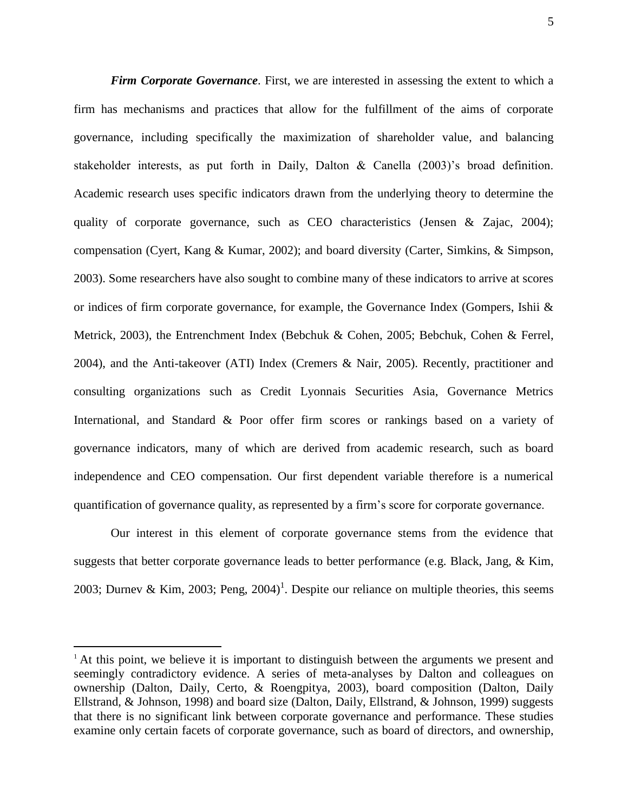*Firm Corporate Governance.* First, we are interested in assessing the extent to which a firm has mechanisms and practices that allow for the fulfillment of the aims of corporate governance, including specifically the maximization of shareholder value, and balancing stakeholder interests, as put forth in Daily, Dalton  $\&$  Canella (2003)'s broad definition. Academic research uses specific indicators drawn from the underlying theory to determine the quality of corporate governance, such as CEO characteristics (Jensen & Zajac, 2004); compensation (Cyert, Kang & Kumar, 2002); and board diversity (Carter, Simkins, & Simpson, 2003). Some researchers have also sought to combine many of these indicators to arrive at scores or indices of firm corporate governance, for example, the Governance Index (Gompers, Ishii & Metrick, 2003), the Entrenchment Index (Bebchuk & Cohen, 2005; Bebchuk, Cohen & Ferrel, 2004), and the Anti-takeover (ATI) Index (Cremers & Nair, 2005). Recently, practitioner and consulting organizations such as Credit Lyonnais Securities Asia, Governance Metrics International, and Standard & Poor offer firm scores or rankings based on a variety of governance indicators, many of which are derived from academic research, such as board independence and CEO compensation. Our first dependent variable therefore is a numerical quantification of governance quality, as represented by a firm"s score for corporate governance.

Our interest in this element of corporate governance stems from the evidence that suggests that better corporate governance leads to better performance (e.g. Black, Jang, & Kim, 2003; Durnev & Kim, 2003; Peng, 2004)<sup>1</sup>. Despite our reliance on multiple theories, this seems

 $\overline{a}$ 

 $<sup>1</sup>$  At this point, we believe it is important to distinguish between the arguments we present and</sup> seemingly contradictory evidence. A series of meta-analyses by Dalton and colleagues on ownership (Dalton, Daily, Certo, & Roengpitya, 2003), board composition (Dalton, Daily Ellstrand, & Johnson, 1998) and board size (Dalton, Daily, Ellstrand, & Johnson, 1999) suggests that there is no significant link between corporate governance and performance. These studies examine only certain facets of corporate governance, such as board of directors, and ownership,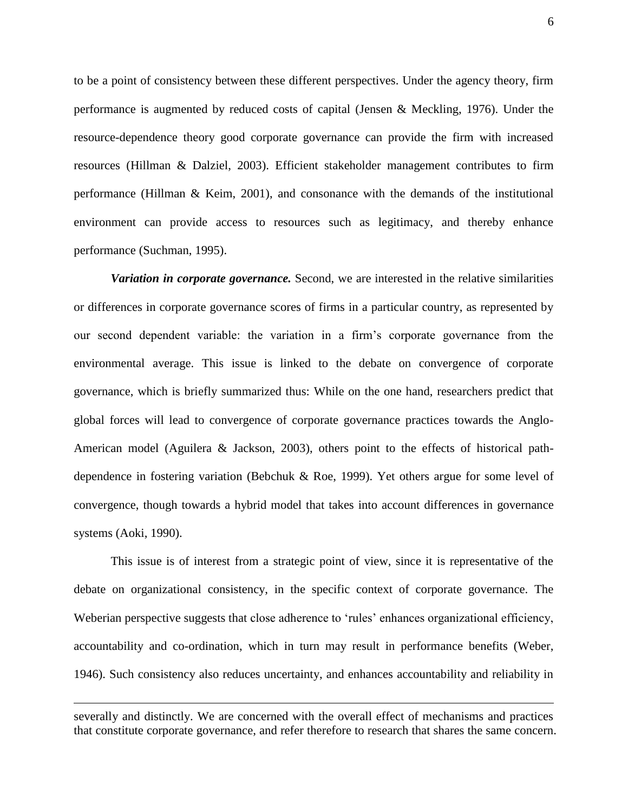to be a point of consistency between these different perspectives. Under the agency theory, firm performance is augmented by reduced costs of capital (Jensen & Meckling, 1976). Under the resource-dependence theory good corporate governance can provide the firm with increased resources (Hillman & Dalziel, 2003). Efficient stakeholder management contributes to firm performance (Hillman & Keim, 2001), and consonance with the demands of the institutional environment can provide access to resources such as legitimacy, and thereby enhance performance (Suchman, 1995).

*Variation in corporate governance.* Second, we are interested in the relative similarities or differences in corporate governance scores of firms in a particular country, as represented by our second dependent variable: the variation in a firm"s corporate governance from the environmental average. This issue is linked to the debate on convergence of corporate governance, which is briefly summarized thus: While on the one hand, researchers predict that global forces will lead to convergence of corporate governance practices towards the Anglo-American model (Aguilera & Jackson, 2003), others point to the effects of historical pathdependence in fostering variation (Bebchuk & Roe, 1999). Yet others argue for some level of convergence, though towards a hybrid model that takes into account differences in governance systems (Aoki, 1990).

This issue is of interest from a strategic point of view, since it is representative of the debate on organizational consistency, in the specific context of corporate governance. The Weberian perspective suggests that close adherence to 'rules' enhances organizational efficiency, accountability and co-ordination, which in turn may result in performance benefits (Weber, 1946). Such consistency also reduces uncertainty, and enhances accountability and reliability in

 $\overline{a}$ 

severally and distinctly. We are concerned with the overall effect of mechanisms and practices that constitute corporate governance, and refer therefore to research that shares the same concern.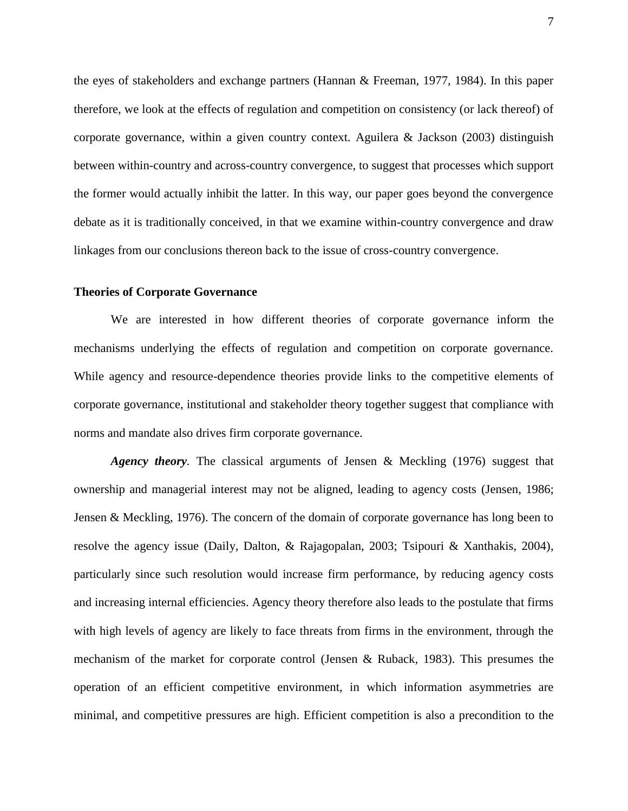the eyes of stakeholders and exchange partners (Hannan & Freeman, 1977, 1984). In this paper therefore, we look at the effects of regulation and competition on consistency (or lack thereof) of corporate governance, within a given country context. Aguilera & Jackson (2003) distinguish between within-country and across-country convergence, to suggest that processes which support the former would actually inhibit the latter. In this way, our paper goes beyond the convergence debate as it is traditionally conceived, in that we examine within-country convergence and draw linkages from our conclusions thereon back to the issue of cross-country convergence.

#### **Theories of Corporate Governance**

We are interested in how different theories of corporate governance inform the mechanisms underlying the effects of regulation and competition on corporate governance. While agency and resource-dependence theories provide links to the competitive elements of corporate governance, institutional and stakeholder theory together suggest that compliance with norms and mandate also drives firm corporate governance.

*Agency theory.* The classical arguments of Jensen & Meckling (1976) suggest that ownership and managerial interest may not be aligned, leading to agency costs (Jensen, 1986; Jensen & Meckling, 1976). The concern of the domain of corporate governance has long been to resolve the agency issue (Daily, Dalton, & Rajagopalan, 2003; Tsipouri & Xanthakis, 2004), particularly since such resolution would increase firm performance, by reducing agency costs and increasing internal efficiencies. Agency theory therefore also leads to the postulate that firms with high levels of agency are likely to face threats from firms in the environment, through the mechanism of the market for corporate control (Jensen & Ruback, 1983). This presumes the operation of an efficient competitive environment, in which information asymmetries are minimal, and competitive pressures are high. Efficient competition is also a precondition to the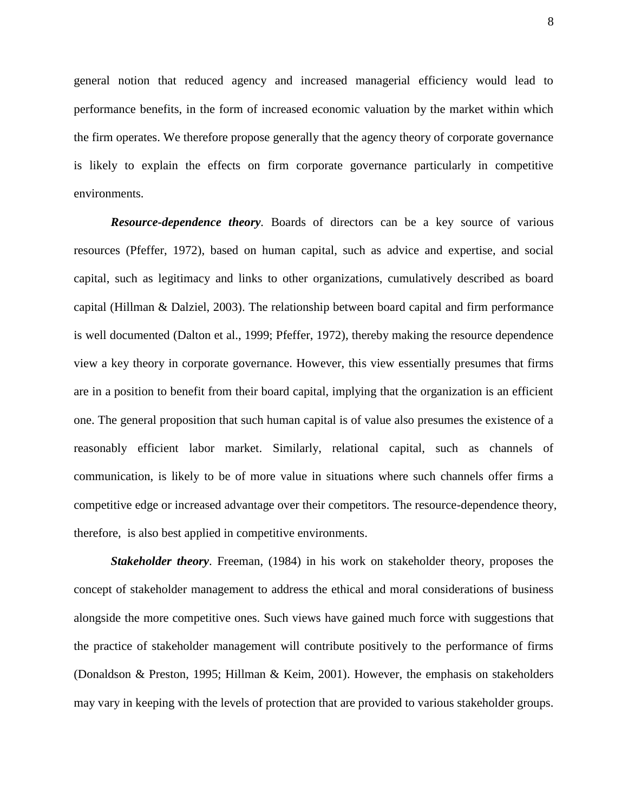general notion that reduced agency and increased managerial efficiency would lead to performance benefits, in the form of increased economic valuation by the market within which the firm operates. We therefore propose generally that the agency theory of corporate governance is likely to explain the effects on firm corporate governance particularly in competitive environments.

*Resource-dependence theory.* Boards of directors can be a key source of various resources (Pfeffer, 1972), based on human capital, such as advice and expertise, and social capital, such as legitimacy and links to other organizations, cumulatively described as board capital (Hillman & Dalziel, 2003). The relationship between board capital and firm performance is well documented (Dalton et al., 1999; Pfeffer, 1972), thereby making the resource dependence view a key theory in corporate governance. However, this view essentially presumes that firms are in a position to benefit from their board capital, implying that the organization is an efficient one. The general proposition that such human capital is of value also presumes the existence of a reasonably efficient labor market. Similarly, relational capital, such as channels of communication, is likely to be of more value in situations where such channels offer firms a competitive edge or increased advantage over their competitors. The resource-dependence theory, therefore, is also best applied in competitive environments.

*Stakeholder theory*. Freeman, (1984) in his work on stakeholder theory, proposes the concept of stakeholder management to address the ethical and moral considerations of business alongside the more competitive ones. Such views have gained much force with suggestions that the practice of stakeholder management will contribute positively to the performance of firms (Donaldson & Preston, 1995; Hillman & Keim, 2001). However, the emphasis on stakeholders may vary in keeping with the levels of protection that are provided to various stakeholder groups.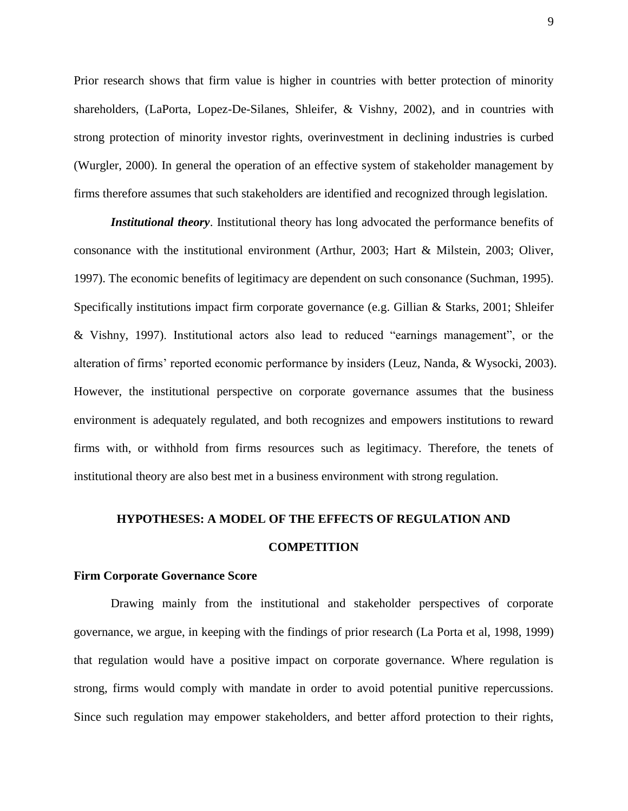Prior research shows that firm value is higher in countries with better protection of minority shareholders, (LaPorta, Lopez-De-Silanes, Shleifer, & Vishny, 2002), and in countries with strong protection of minority investor rights, overinvestment in declining industries is curbed (Wurgler, 2000). In general the operation of an effective system of stakeholder management by firms therefore assumes that such stakeholders are identified and recognized through legislation.

*Institutional theory*. Institutional theory has long advocated the performance benefits of consonance with the institutional environment (Arthur, 2003; Hart & Milstein, 2003; Oliver, 1997). The economic benefits of legitimacy are dependent on such consonance (Suchman, 1995). Specifically institutions impact firm corporate governance (e.g. Gillian & Starks, 2001; Shleifer & Vishny, 1997). Institutional actors also lead to reduced "earnings management", or the alteration of firms' reported economic performance by insiders (Leuz, Nanda, & Wysocki, 2003). However, the institutional perspective on corporate governance assumes that the business environment is adequately regulated, and both recognizes and empowers institutions to reward firms with, or withhold from firms resources such as legitimacy. Therefore, the tenets of institutional theory are also best met in a business environment with strong regulation.

# **HYPOTHESES: A MODEL OF THE EFFECTS OF REGULATION AND**

### **COMPETITION**

#### **Firm Corporate Governance Score**

Drawing mainly from the institutional and stakeholder perspectives of corporate governance, we argue, in keeping with the findings of prior research (La Porta et al, 1998, 1999) that regulation would have a positive impact on corporate governance. Where regulation is strong, firms would comply with mandate in order to avoid potential punitive repercussions. Since such regulation may empower stakeholders, and better afford protection to their rights,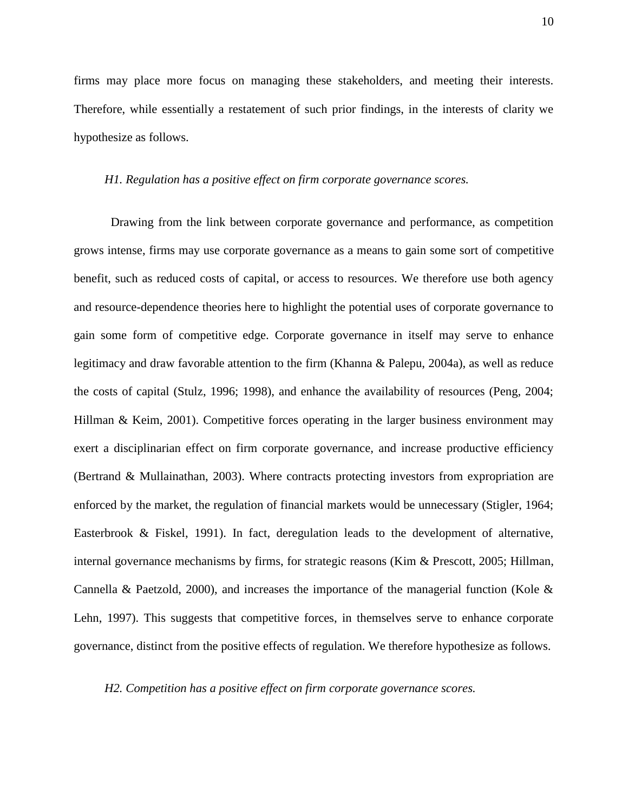firms may place more focus on managing these stakeholders, and meeting their interests. Therefore, while essentially a restatement of such prior findings, in the interests of clarity we hypothesize as follows.

### *H1. Regulation has a positive effect on firm corporate governance scores.*

Drawing from the link between corporate governance and performance, as competition grows intense, firms may use corporate governance as a means to gain some sort of competitive benefit, such as reduced costs of capital, or access to resources. We therefore use both agency and resource-dependence theories here to highlight the potential uses of corporate governance to gain some form of competitive edge. Corporate governance in itself may serve to enhance legitimacy and draw favorable attention to the firm (Khanna & Palepu, 2004a), as well as reduce the costs of capital (Stulz, 1996; 1998), and enhance the availability of resources (Peng, 2004; Hillman & Keim, 2001). Competitive forces operating in the larger business environment may exert a disciplinarian effect on firm corporate governance, and increase productive efficiency (Bertrand & Mullainathan, 2003). Where contracts protecting investors from expropriation are enforced by the market, the regulation of financial markets would be unnecessary (Stigler, 1964; Easterbrook & Fiskel, 1991). In fact, deregulation leads to the development of alternative, internal governance mechanisms by firms, for strategic reasons (Kim & Prescott, 2005; Hillman, Cannella & Paetzold, 2000), and increases the importance of the managerial function (Kole & Lehn, 1997). This suggests that competitive forces, in themselves serve to enhance corporate governance, distinct from the positive effects of regulation. We therefore hypothesize as follows.

#### *H2. Competition has a positive effect on firm corporate governance scores.*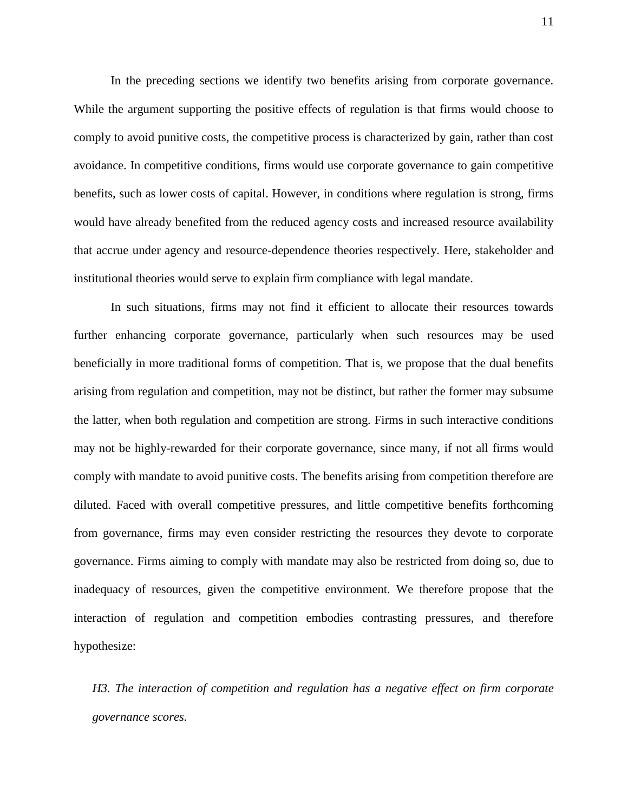In the preceding sections we identify two benefits arising from corporate governance. While the argument supporting the positive effects of regulation is that firms would choose to comply to avoid punitive costs, the competitive process is characterized by gain, rather than cost avoidance. In competitive conditions, firms would use corporate governance to gain competitive benefits, such as lower costs of capital. However, in conditions where regulation is strong, firms would have already benefited from the reduced agency costs and increased resource availability that accrue under agency and resource-dependence theories respectively. Here, stakeholder and institutional theories would serve to explain firm compliance with legal mandate.

In such situations, firms may not find it efficient to allocate their resources towards further enhancing corporate governance, particularly when such resources may be used beneficially in more traditional forms of competition. That is, we propose that the dual benefits arising from regulation and competition, may not be distinct, but rather the former may subsume the latter, when both regulation and competition are strong. Firms in such interactive conditions may not be highly-rewarded for their corporate governance, since many, if not all firms would comply with mandate to avoid punitive costs. The benefits arising from competition therefore are diluted. Faced with overall competitive pressures, and little competitive benefits forthcoming from governance, firms may even consider restricting the resources they devote to corporate governance. Firms aiming to comply with mandate may also be restricted from doing so, due to inadequacy of resources, given the competitive environment. We therefore propose that the interaction of regulation and competition embodies contrasting pressures, and therefore hypothesize:

*H3. The interaction of competition and regulation has a negative effect on firm corporate governance scores.*

11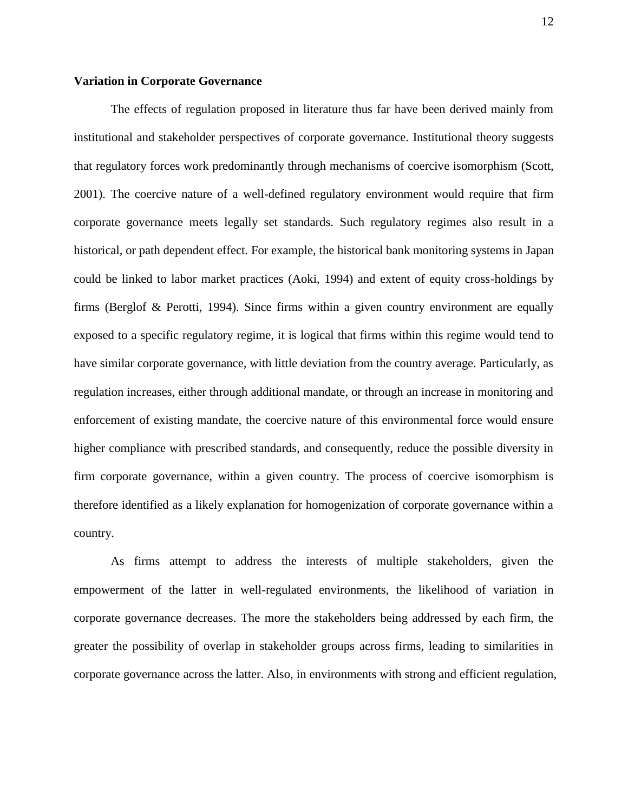### **Variation in Corporate Governance**

The effects of regulation proposed in literature thus far have been derived mainly from institutional and stakeholder perspectives of corporate governance. Institutional theory suggests that regulatory forces work predominantly through mechanisms of coercive isomorphism (Scott, 2001). The coercive nature of a well-defined regulatory environment would require that firm corporate governance meets legally set standards. Such regulatory regimes also result in a historical, or path dependent effect. For example, the historical bank monitoring systems in Japan could be linked to labor market practices (Aoki, 1994) and extent of equity cross-holdings by firms (Berglof & Perotti, 1994). Since firms within a given country environment are equally exposed to a specific regulatory regime, it is logical that firms within this regime would tend to have similar corporate governance, with little deviation from the country average. Particularly, as regulation increases, either through additional mandate, or through an increase in monitoring and enforcement of existing mandate, the coercive nature of this environmental force would ensure higher compliance with prescribed standards, and consequently, reduce the possible diversity in firm corporate governance, within a given country. The process of coercive isomorphism is therefore identified as a likely explanation for homogenization of corporate governance within a country.

As firms attempt to address the interests of multiple stakeholders, given the empowerment of the latter in well-regulated environments, the likelihood of variation in corporate governance decreases. The more the stakeholders being addressed by each firm, the greater the possibility of overlap in stakeholder groups across firms, leading to similarities in corporate governance across the latter. Also, in environments with strong and efficient regulation,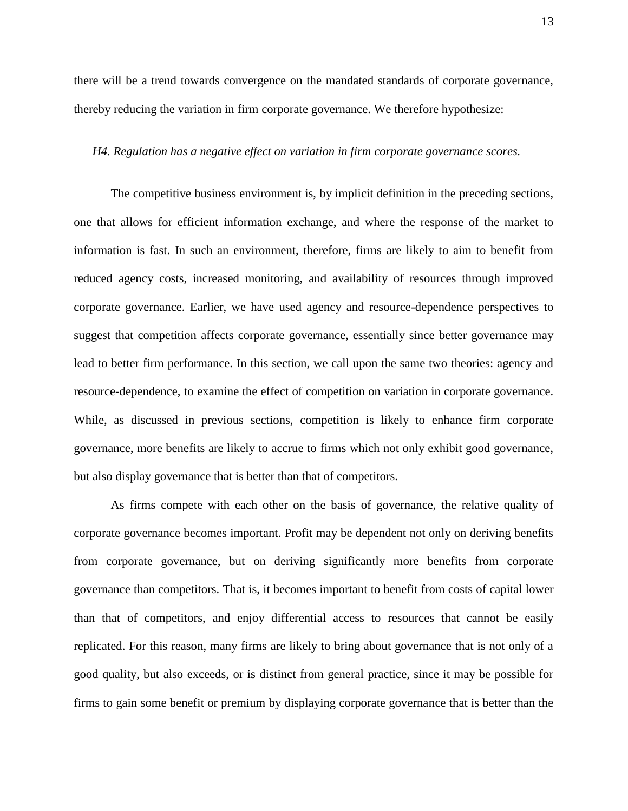there will be a trend towards convergence on the mandated standards of corporate governance, thereby reducing the variation in firm corporate governance. We therefore hypothesize:

#### *H4. Regulation has a negative effect on variation in firm corporate governance scores.*

The competitive business environment is, by implicit definition in the preceding sections, one that allows for efficient information exchange, and where the response of the market to information is fast. In such an environment, therefore, firms are likely to aim to benefit from reduced agency costs, increased monitoring, and availability of resources through improved corporate governance. Earlier, we have used agency and resource-dependence perspectives to suggest that competition affects corporate governance, essentially since better governance may lead to better firm performance. In this section, we call upon the same two theories: agency and resource-dependence, to examine the effect of competition on variation in corporate governance. While, as discussed in previous sections, competition is likely to enhance firm corporate governance, more benefits are likely to accrue to firms which not only exhibit good governance, but also display governance that is better than that of competitors.

As firms compete with each other on the basis of governance, the relative quality of corporate governance becomes important. Profit may be dependent not only on deriving benefits from corporate governance, but on deriving significantly more benefits from corporate governance than competitors. That is, it becomes important to benefit from costs of capital lower than that of competitors, and enjoy differential access to resources that cannot be easily replicated. For this reason, many firms are likely to bring about governance that is not only of a good quality, but also exceeds, or is distinct from general practice, since it may be possible for firms to gain some benefit or premium by displaying corporate governance that is better than the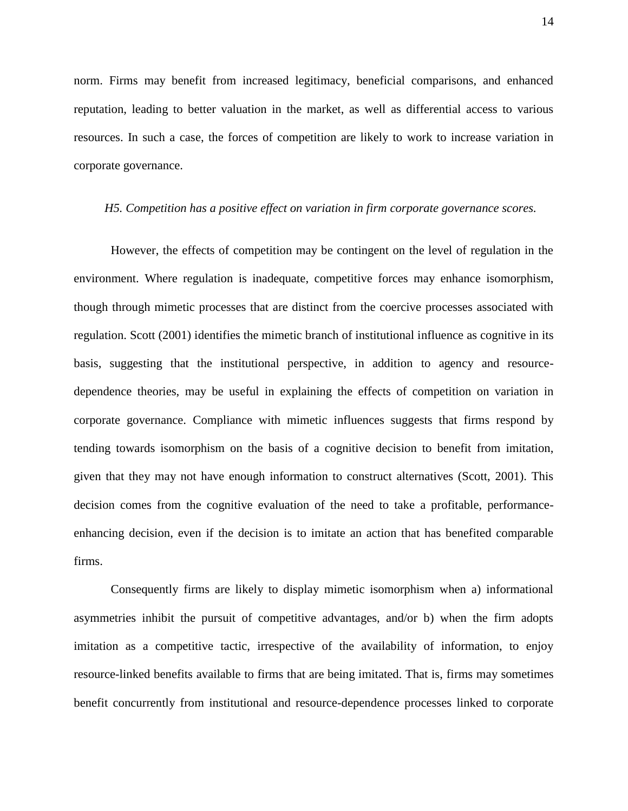norm. Firms may benefit from increased legitimacy, beneficial comparisons, and enhanced reputation, leading to better valuation in the market, as well as differential access to various resources. In such a case, the forces of competition are likely to work to increase variation in corporate governance.

#### *H5. Competition has a positive effect on variation in firm corporate governance scores.*

However, the effects of competition may be contingent on the level of regulation in the environment. Where regulation is inadequate, competitive forces may enhance isomorphism, though through mimetic processes that are distinct from the coercive processes associated with regulation. Scott (2001) identifies the mimetic branch of institutional influence as cognitive in its basis, suggesting that the institutional perspective, in addition to agency and resourcedependence theories, may be useful in explaining the effects of competition on variation in corporate governance. Compliance with mimetic influences suggests that firms respond by tending towards isomorphism on the basis of a cognitive decision to benefit from imitation, given that they may not have enough information to construct alternatives (Scott, 2001). This decision comes from the cognitive evaluation of the need to take a profitable, performanceenhancing decision, even if the decision is to imitate an action that has benefited comparable firms.

Consequently firms are likely to display mimetic isomorphism when a) informational asymmetries inhibit the pursuit of competitive advantages, and/or b) when the firm adopts imitation as a competitive tactic, irrespective of the availability of information, to enjoy resource-linked benefits available to firms that are being imitated. That is, firms may sometimes benefit concurrently from institutional and resource-dependence processes linked to corporate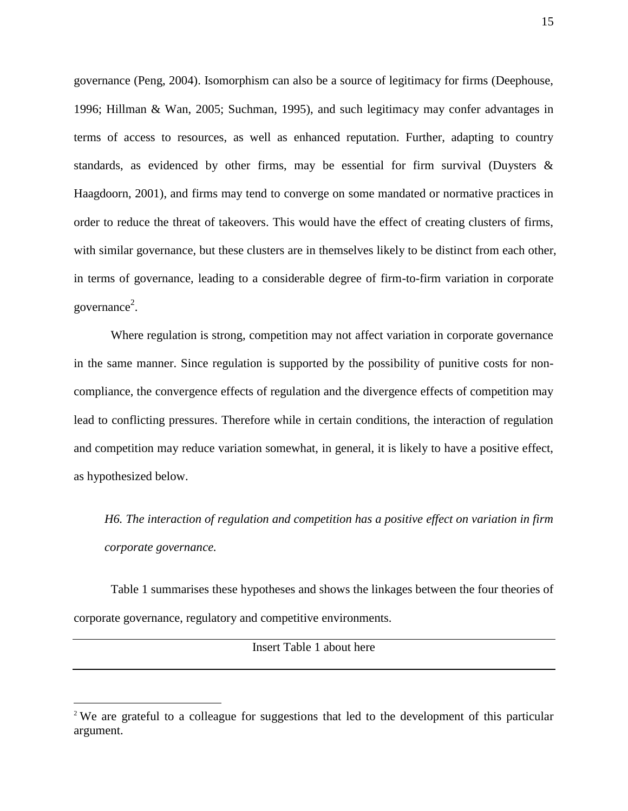governance (Peng, 2004). Isomorphism can also be a source of legitimacy for firms (Deephouse, 1996; Hillman & Wan, 2005; Suchman, 1995), and such legitimacy may confer advantages in terms of access to resources, as well as enhanced reputation. Further, adapting to country standards, as evidenced by other firms, may be essential for firm survival (Duysters  $\&$ Haagdoorn, 2001), and firms may tend to converge on some mandated or normative practices in order to reduce the threat of takeovers. This would have the effect of creating clusters of firms, with similar governance, but these clusters are in themselves likely to be distinct from each other, in terms of governance, leading to a considerable degree of firm-to-firm variation in corporate governance 2 .

Where regulation is strong, competition may not affect variation in corporate governance in the same manner. Since regulation is supported by the possibility of punitive costs for noncompliance, the convergence effects of regulation and the divergence effects of competition may lead to conflicting pressures. Therefore while in certain conditions, the interaction of regulation and competition may reduce variation somewhat, in general, it is likely to have a positive effect, as hypothesized below.

*H6. The interaction of regulation and competition has a positive effect on variation in firm corporate governance.*

Table 1 summarises these hypotheses and shows the linkages between the four theories of corporate governance, regulatory and competitive environments.

Insert Table 1 about here

 $\overline{a}$ 

<sup>&</sup>lt;sup>2</sup> We are grateful to a colleague for suggestions that led to the development of this particular argument.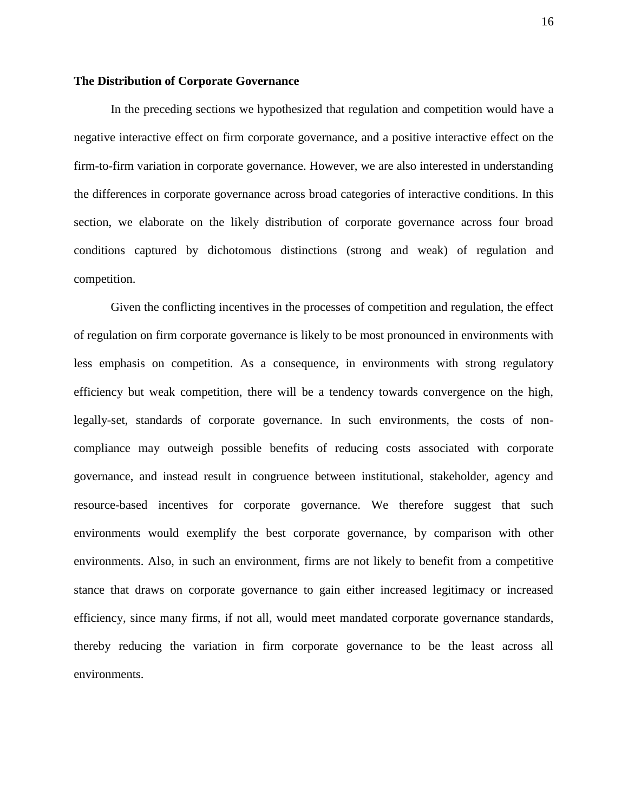### **The Distribution of Corporate Governance**

In the preceding sections we hypothesized that regulation and competition would have a negative interactive effect on firm corporate governance, and a positive interactive effect on the firm-to-firm variation in corporate governance. However, we are also interested in understanding the differences in corporate governance across broad categories of interactive conditions. In this section, we elaborate on the likely distribution of corporate governance across four broad conditions captured by dichotomous distinctions (strong and weak) of regulation and competition.

Given the conflicting incentives in the processes of competition and regulation, the effect of regulation on firm corporate governance is likely to be most pronounced in environments with less emphasis on competition. As a consequence, in environments with strong regulatory efficiency but weak competition, there will be a tendency towards convergence on the high, legally-set, standards of corporate governance. In such environments, the costs of noncompliance may outweigh possible benefits of reducing costs associated with corporate governance, and instead result in congruence between institutional, stakeholder, agency and resource-based incentives for corporate governance. We therefore suggest that such environments would exemplify the best corporate governance, by comparison with other environments. Also, in such an environment, firms are not likely to benefit from a competitive stance that draws on corporate governance to gain either increased legitimacy or increased efficiency, since many firms, if not all, would meet mandated corporate governance standards, thereby reducing the variation in firm corporate governance to be the least across all environments.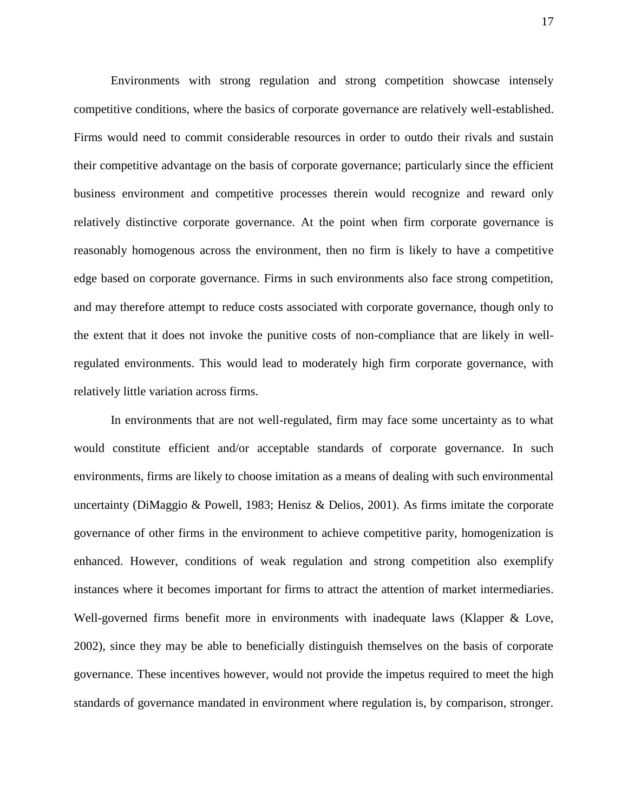Environments with strong regulation and strong competition showcase intensely competitive conditions, where the basics of corporate governance are relatively well-established. Firms would need to commit considerable resources in order to outdo their rivals and sustain their competitive advantage on the basis of corporate governance; particularly since the efficient business environment and competitive processes therein would recognize and reward only relatively distinctive corporate governance. At the point when firm corporate governance is reasonably homogenous across the environment, then no firm is likely to have a competitive edge based on corporate governance. Firms in such environments also face strong competition, and may therefore attempt to reduce costs associated with corporate governance, though only to the extent that it does not invoke the punitive costs of non-compliance that are likely in wellregulated environments. This would lead to moderately high firm corporate governance, with relatively little variation across firms.

In environments that are not well-regulated, firm may face some uncertainty as to what would constitute efficient and/or acceptable standards of corporate governance. In such environments, firms are likely to choose imitation as a means of dealing with such environmental uncertainty (DiMaggio & Powell, 1983; Henisz & Delios, 2001). As firms imitate the corporate governance of other firms in the environment to achieve competitive parity, homogenization is enhanced. However, conditions of weak regulation and strong competition also exemplify instances where it becomes important for firms to attract the attention of market intermediaries. Well-governed firms benefit more in environments with inadequate laws (Klapper & Love, 2002), since they may be able to beneficially distinguish themselves on the basis of corporate governance. These incentives however, would not provide the impetus required to meet the high standards of governance mandated in environment where regulation is, by comparison, stronger.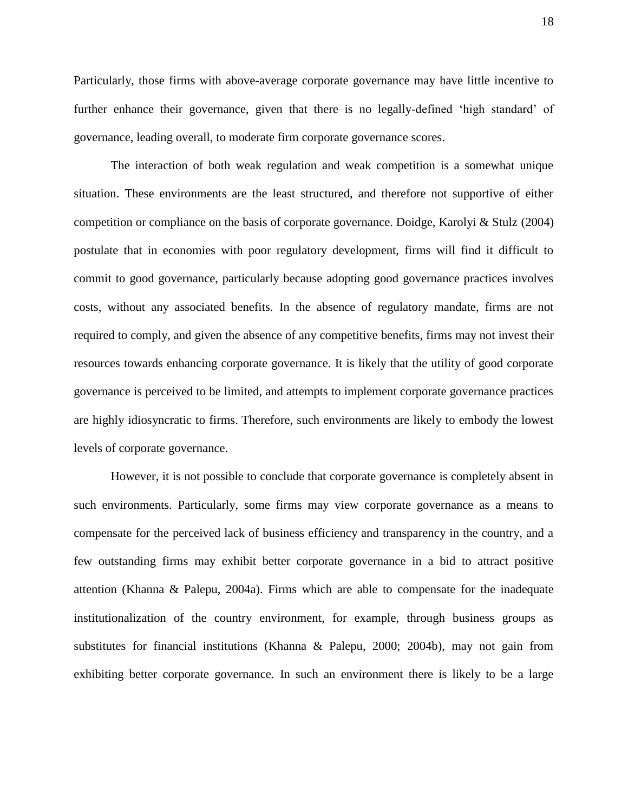Particularly, those firms with above-average corporate governance may have little incentive to further enhance their governance, given that there is no legally-defined 'high standard' of governance, leading overall, to moderate firm corporate governance scores.

The interaction of both weak regulation and weak competition is a somewhat unique situation. These environments are the least structured, and therefore not supportive of either competition or compliance on the basis of corporate governance. Doidge, Karolyi & Stulz (2004) postulate that in economies with poor regulatory development, firms will find it difficult to commit to good governance, particularly because adopting good governance practices involves costs, without any associated benefits. In the absence of regulatory mandate, firms are not required to comply, and given the absence of any competitive benefits, firms may not invest their resources towards enhancing corporate governance. It is likely that the utility of good corporate governance is perceived to be limited, and attempts to implement corporate governance practices are highly idiosyncratic to firms. Therefore, such environments are likely to embody the lowest levels of corporate governance.

However, it is not possible to conclude that corporate governance is completely absent in such environments. Particularly, some firms may view corporate governance as a means to compensate for the perceived lack of business efficiency and transparency in the country, and a few outstanding firms may exhibit better corporate governance in a bid to attract positive attention (Khanna & Palepu, 2004a). Firms which are able to compensate for the inadequate institutionalization of the country environment, for example, through business groups as substitutes for financial institutions (Khanna & Palepu, 2000; 2004b), may not gain from exhibiting better corporate governance. In such an environment there is likely to be a large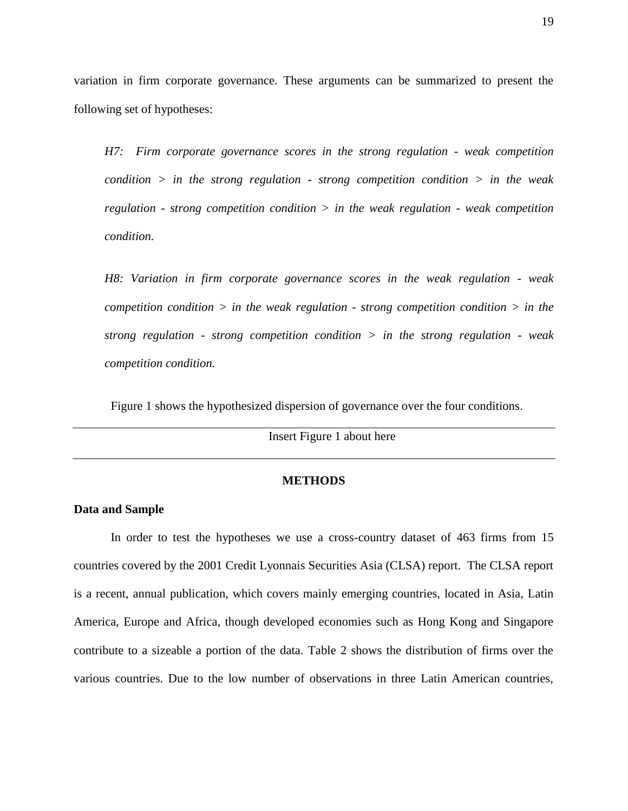variation in firm corporate governance. These arguments can be summarized to present the following set of hypotheses:

*H7: Firm corporate governance scores in the strong regulation - weak competition condition > in the strong regulation - strong competition condition > in the weak regulation - strong competition condition > in the weak regulation - weak competition condition.*

*H8: Variation in firm corporate governance scores in the weak regulation - weak competition condition > in the weak regulation - strong competition condition > in the strong regulation - strong competition condition > in the strong regulation - weak competition condition.*

Figure 1 shows the hypothesized dispersion of governance over the four conditions.

Insert Figure 1 about here

### **METHODS**

### **Data and Sample**

In order to test the hypotheses we use a cross-country dataset of 463 firms from 15 countries covered by the 2001 Credit Lyonnais Securities Asia (CLSA) report. The CLSA report is a recent, annual publication, which covers mainly emerging countries, located in Asia, Latin America, Europe and Africa, though developed economies such as Hong Kong and Singapore contribute to a sizeable a portion of the data. Table 2 shows the distribution of firms over the various countries. Due to the low number of observations in three Latin American countries,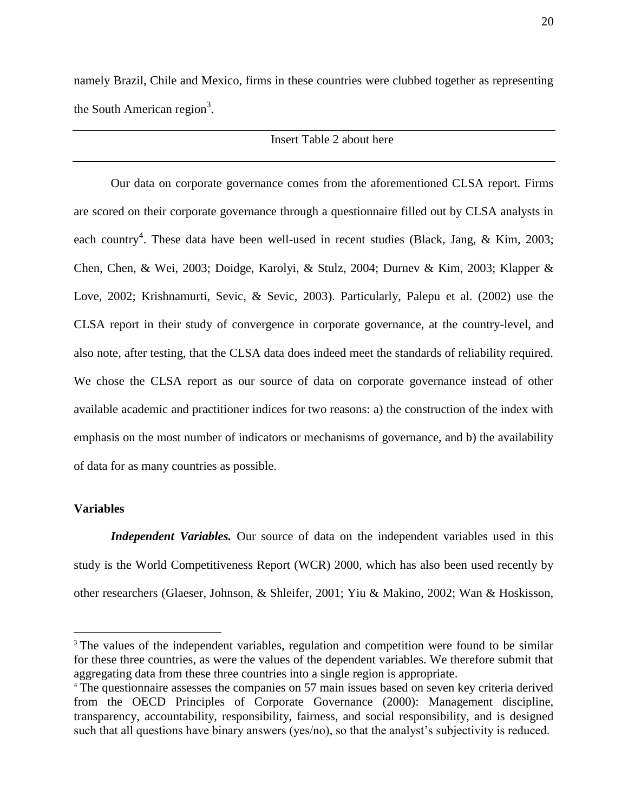namely Brazil, Chile and Mexico, firms in these countries were clubbed together as representing the South American region<sup>3</sup>.

### Insert Table 2 about here

Our data on corporate governance comes from the aforementioned CLSA report. Firms are scored on their corporate governance through a questionnaire filled out by CLSA analysts in each country<sup>4</sup>. These data have been well-used in recent studies (Black, Jang, & Kim, 2003; Chen, Chen, & Wei, 2003; Doidge, Karolyi, & Stulz, 2004; Durnev & Kim, 2003; Klapper & Love, 2002; Krishnamurti, Sevic, & Sevic, 2003). Particularly, Palepu et al. (2002) use the CLSA report in their study of convergence in corporate governance, at the country-level, and also note, after testing, that the CLSA data does indeed meet the standards of reliability required. We chose the CLSA report as our source of data on corporate governance instead of other available academic and practitioner indices for two reasons: a) the construction of the index with emphasis on the most number of indicators or mechanisms of governance, and b) the availability of data for as many countries as possible.

### **Variables**

 $\overline{a}$ 

*Independent Variables.* Our source of data on the independent variables used in this study is the World Competitiveness Report (WCR) 2000, which has also been used recently by other researchers (Glaeser, Johnson, & Shleifer, 2001; Yiu & Makino, 2002; Wan & Hoskisson,

<sup>&</sup>lt;sup>3</sup> The values of the independent variables, regulation and competition were found to be similar for these three countries, as were the values of the dependent variables. We therefore submit that aggregating data from these three countries into a single region is appropriate.

<sup>4</sup> The questionnaire assesses the companies on 57 main issues based on seven key criteria derived from the OECD Principles of Corporate Governance (2000): Management discipline, transparency, accountability, responsibility, fairness, and social responsibility, and is designed such that all questions have binary answers (yes/no), so that the analyst's subjectivity is reduced.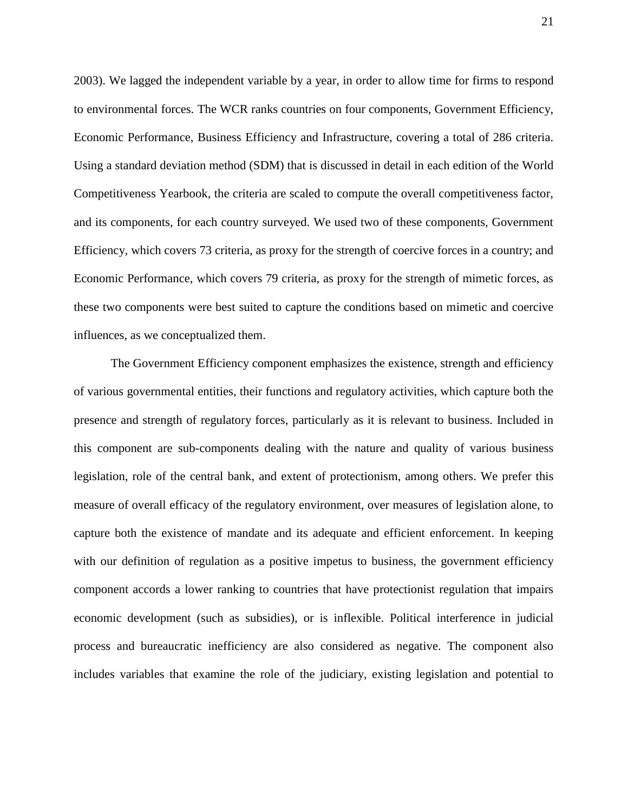2003). We lagged the independent variable by a year, in order to allow time for firms to respond to environmental forces. The WCR ranks countries on four components, Government Efficiency, Economic Performance, Business Efficiency and Infrastructure, covering a total of 286 criteria. Using a standard deviation method (SDM) that is discussed in detail in each edition of the World Competitiveness Yearbook, the criteria are scaled to compute the overall competitiveness factor, and its components, for each country surveyed. We used two of these components, Government Efficiency, which covers 73 criteria, as proxy for the strength of coercive forces in a country; and Economic Performance, which covers 79 criteria, as proxy for the strength of mimetic forces, as these two components were best suited to capture the conditions based on mimetic and coercive influences, as we conceptualized them.

The Government Efficiency component emphasizes the existence, strength and efficiency of various governmental entities, their functions and regulatory activities, which capture both the presence and strength of regulatory forces, particularly as it is relevant to business. Included in this component are sub-components dealing with the nature and quality of various business legislation, role of the central bank, and extent of protectionism, among others. We prefer this measure of overall efficacy of the regulatory environment, over measures of legislation alone, to capture both the existence of mandate and its adequate and efficient enforcement. In keeping with our definition of regulation as a positive impetus to business, the government efficiency component accords a lower ranking to countries that have protectionist regulation that impairs economic development (such as subsidies), or is inflexible. Political interference in judicial process and bureaucratic inefficiency are also considered as negative. The component also includes variables that examine the role of the judiciary, existing legislation and potential to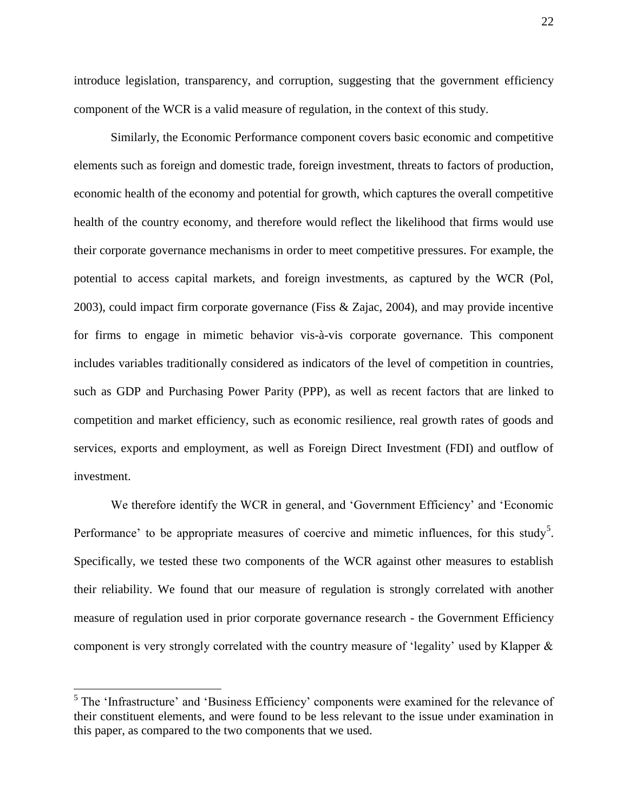introduce legislation, transparency, and corruption, suggesting that the government efficiency component of the WCR is a valid measure of regulation, in the context of this study.

Similarly, the Economic Performance component covers basic economic and competitive elements such as foreign and domestic trade, foreign investment, threats to factors of production, economic health of the economy and potential for growth, which captures the overall competitive health of the country economy, and therefore would reflect the likelihood that firms would use their corporate governance mechanisms in order to meet competitive pressures. For example, the potential to access capital markets, and foreign investments, as captured by the WCR (Pol, 2003), could impact firm corporate governance (Fiss & Zajac, 2004), and may provide incentive for firms to engage in mimetic behavior vis-à-vis corporate governance. This component includes variables traditionally considered as indicators of the level of competition in countries, such as GDP and Purchasing Power Parity (PPP), as well as recent factors that are linked to competition and market efficiency, such as economic resilience, real growth rates of goods and services, exports and employment, as well as Foreign Direct Investment (FDI) and outflow of investment.

We therefore identify the WCR in general, and 'Government Efficiency' and 'Economic Performance' to be appropriate measures of coercive and mimetic influences, for this study<sup>5</sup>. Specifically, we tested these two components of the WCR against other measures to establish their reliability. We found that our measure of regulation is strongly correlated with another measure of regulation used in prior corporate governance research - the Government Efficiency component is very strongly correlated with the country measure of "legality" used by Klapper &

 $\overline{a}$ 

 $<sup>5</sup>$  The 'Infrastructure' and 'Business Efficiency' components were examined for the relevance of</sup> their constituent elements, and were found to be less relevant to the issue under examination in this paper, as compared to the two components that we used.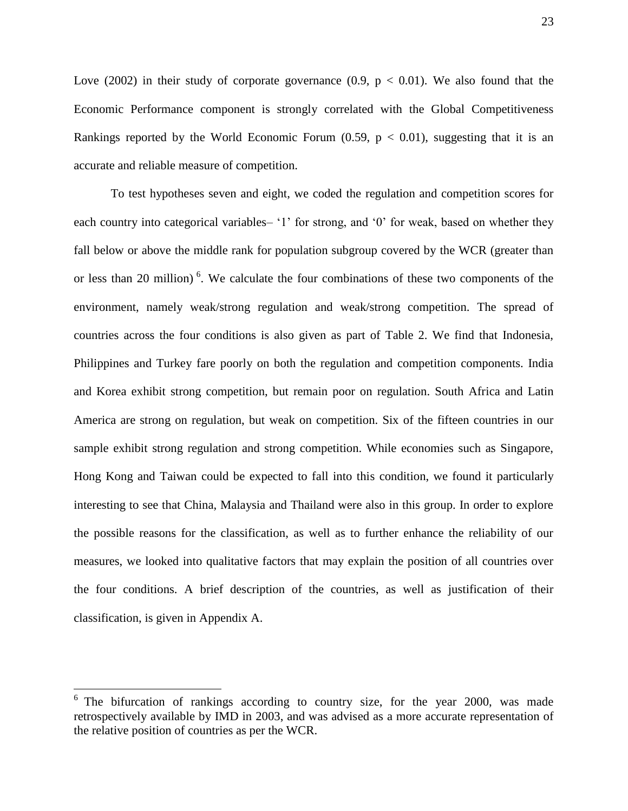Love (2002) in their study of corporate governance (0.9,  $p < 0.01$ ). We also found that the Economic Performance component is strongly correlated with the Global Competitiveness Rankings reported by the World Economic Forum  $(0.59, p < 0.01)$ , suggesting that it is an accurate and reliable measure of competition.

To test hypotheses seven and eight, we coded the regulation and competition scores for each country into categorical variables– '1' for strong, and '0' for weak, based on whether they fall below or above the middle rank for population subgroup covered by the WCR (greater than or less than 20 million)<sup>6</sup>. We calculate the four combinations of these two components of the environment, namely weak/strong regulation and weak/strong competition. The spread of countries across the four conditions is also given as part of Table 2. We find that Indonesia, Philippines and Turkey fare poorly on both the regulation and competition components. India and Korea exhibit strong competition, but remain poor on regulation. South Africa and Latin America are strong on regulation, but weak on competition. Six of the fifteen countries in our sample exhibit strong regulation and strong competition. While economies such as Singapore, Hong Kong and Taiwan could be expected to fall into this condition, we found it particularly interesting to see that China, Malaysia and Thailand were also in this group. In order to explore the possible reasons for the classification, as well as to further enhance the reliability of our measures, we looked into qualitative factors that may explain the position of all countries over the four conditions. A brief description of the countries, as well as justification of their classification, is given in Appendix A.

 $\overline{a}$ 

<sup>&</sup>lt;sup>6</sup> The bifurcation of rankings according to country size, for the year 2000, was made retrospectively available by IMD in 2003, and was advised as a more accurate representation of the relative position of countries as per the WCR.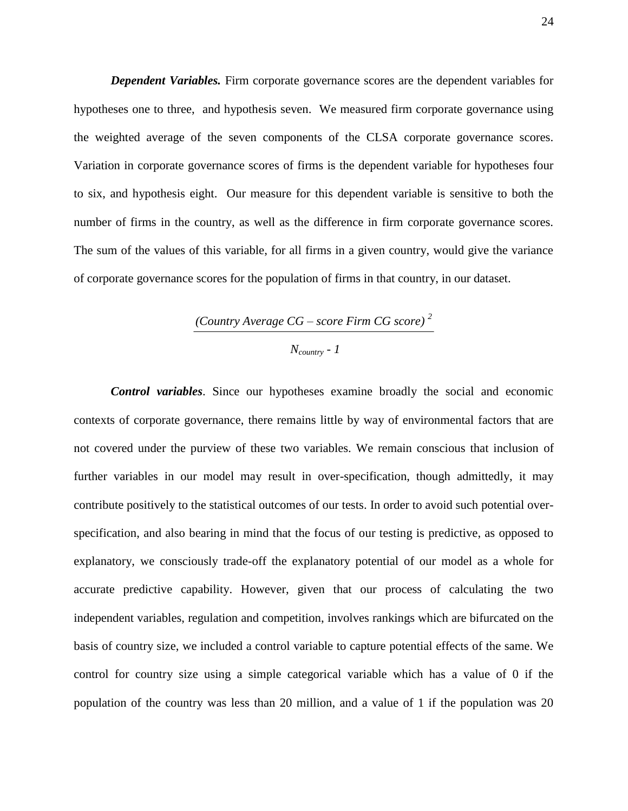*Dependent Variables.* Firm corporate governance scores are the dependent variables for hypotheses one to three, and hypothesis seven. We measured firm corporate governance using the weighted average of the seven components of the CLSA corporate governance scores. Variation in corporate governance scores of firms is the dependent variable for hypotheses four to six, and hypothesis eight. Our measure for this dependent variable is sensitive to both the number of firms in the country, as well as the difference in firm corporate governance scores. The sum of the values of this variable, for all firms in a given country, would give the variance of corporate governance scores for the population of firms in that country, in our dataset.

# *(Country Average CG – score Firm CG score) <sup>2</sup>*

### *Ncountry - 1*

*Control variables*. Since our hypotheses examine broadly the social and economic contexts of corporate governance, there remains little by way of environmental factors that are not covered under the purview of these two variables. We remain conscious that inclusion of further variables in our model may result in over-specification, though admittedly, it may contribute positively to the statistical outcomes of our tests. In order to avoid such potential overspecification, and also bearing in mind that the focus of our testing is predictive, as opposed to explanatory, we consciously trade-off the explanatory potential of our model as a whole for accurate predictive capability. However, given that our process of calculating the two independent variables, regulation and competition, involves rankings which are bifurcated on the basis of country size, we included a control variable to capture potential effects of the same. We control for country size using a simple categorical variable which has a value of 0 if the population of the country was less than 20 million, and a value of 1 if the population was 20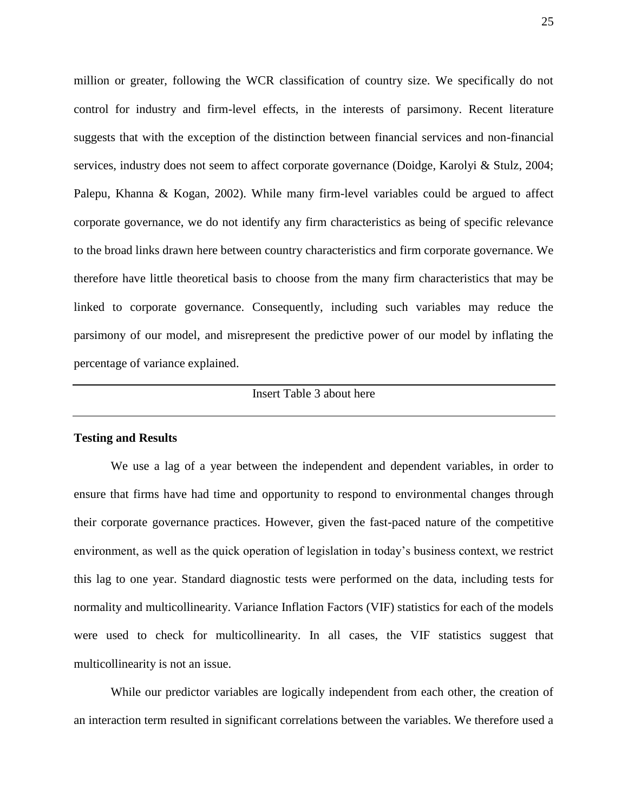million or greater, following the WCR classification of country size. We specifically do not control for industry and firm-level effects, in the interests of parsimony. Recent literature suggests that with the exception of the distinction between financial services and non-financial services, industry does not seem to affect corporate governance (Doidge, Karolyi & Stulz, 2004; Palepu, Khanna & Kogan, 2002). While many firm-level variables could be argued to affect corporate governance, we do not identify any firm characteristics as being of specific relevance to the broad links drawn here between country characteristics and firm corporate governance. We therefore have little theoretical basis to choose from the many firm characteristics that may be linked to corporate governance. Consequently, including such variables may reduce the parsimony of our model, and misrepresent the predictive power of our model by inflating the percentage of variance explained.

### Insert Table 3 about here

#### **Testing and Results**

We use a lag of a year between the independent and dependent variables, in order to ensure that firms have had time and opportunity to respond to environmental changes through their corporate governance practices. However, given the fast-paced nature of the competitive environment, as well as the quick operation of legislation in today"s business context, we restrict this lag to one year. Standard diagnostic tests were performed on the data, including tests for normality and multicollinearity. Variance Inflation Factors (VIF) statistics for each of the models were used to check for multicollinearity. In all cases, the VIF statistics suggest that multicollinearity is not an issue.

While our predictor variables are logically independent from each other, the creation of an interaction term resulted in significant correlations between the variables. We therefore used a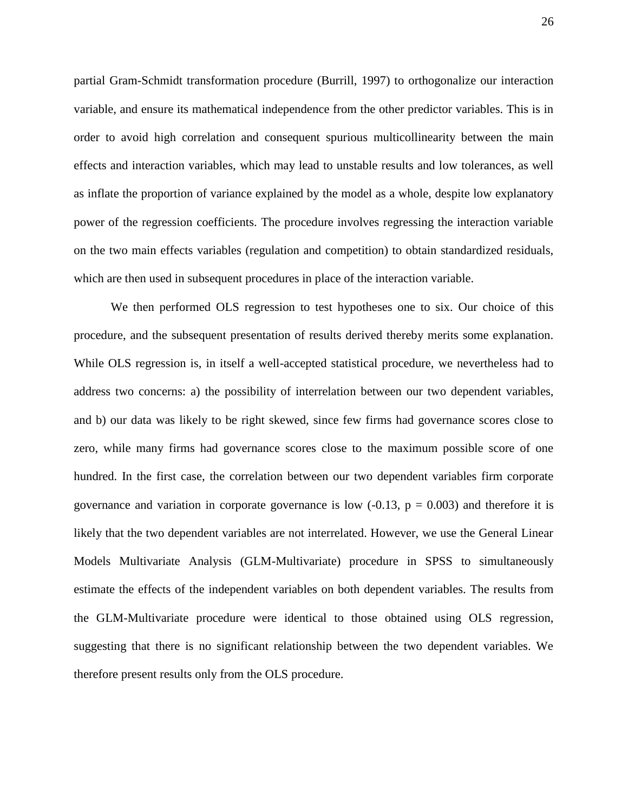partial Gram-Schmidt transformation procedure (Burrill, 1997) to orthogonalize our interaction variable, and ensure its mathematical independence from the other predictor variables. This is in order to avoid high correlation and consequent spurious multicollinearity between the main effects and interaction variables, which may lead to unstable results and low tolerances, as well as inflate the proportion of variance explained by the model as a whole, despite low explanatory power of the regression coefficients. The procedure involves regressing the interaction variable on the two main effects variables (regulation and competition) to obtain standardized residuals, which are then used in subsequent procedures in place of the interaction variable.

We then performed OLS regression to test hypotheses one to six. Our choice of this procedure, and the subsequent presentation of results derived thereby merits some explanation. While OLS regression is, in itself a well-accepted statistical procedure, we nevertheless had to address two concerns: a) the possibility of interrelation between our two dependent variables, and b) our data was likely to be right skewed, since few firms had governance scores close to zero, while many firms had governance scores close to the maximum possible score of one hundred. In the first case, the correlation between our two dependent variables firm corporate governance and variation in corporate governance is low  $(-0.13, p = 0.003)$  and therefore it is likely that the two dependent variables are not interrelated. However, we use the General Linear Models Multivariate Analysis (GLM-Multivariate) procedure in SPSS to simultaneously estimate the effects of the independent variables on both dependent variables. The results from the GLM-Multivariate procedure were identical to those obtained using OLS regression, suggesting that there is no significant relationship between the two dependent variables. We therefore present results only from the OLS procedure.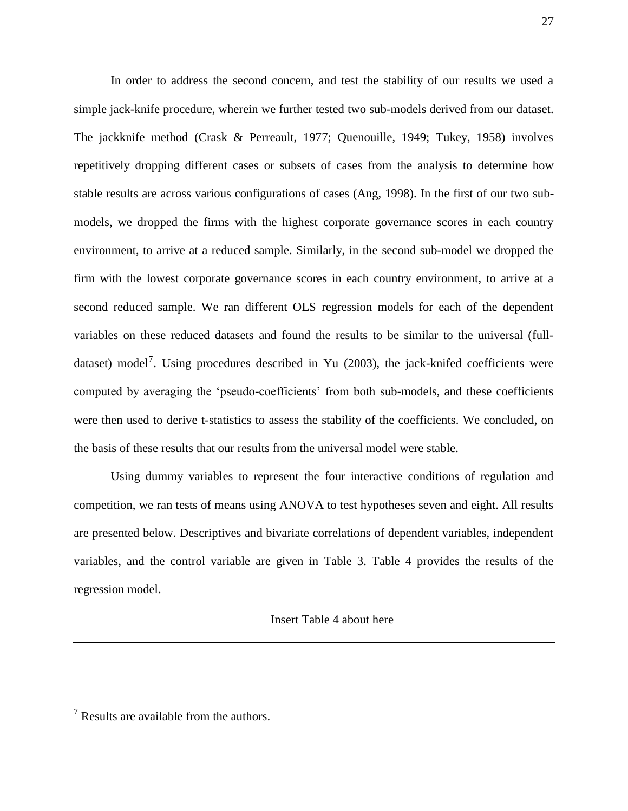In order to address the second concern, and test the stability of our results we used a simple jack-knife procedure, wherein we further tested two sub-models derived from our dataset. The jackknife method (Crask & Perreault, 1977; Quenouille, 1949; Tukey, 1958) involves repetitively dropping different cases or subsets of cases from the analysis to determine how stable results are across various configurations of cases (Ang, 1998). In the first of our two submodels, we dropped the firms with the highest corporate governance scores in each country environment, to arrive at a reduced sample. Similarly, in the second sub-model we dropped the firm with the lowest corporate governance scores in each country environment, to arrive at a second reduced sample. We ran different OLS regression models for each of the dependent variables on these reduced datasets and found the results to be similar to the universal (fulldataset) model<sup>7</sup>. Using procedures described in Yu (2003), the jack-knifed coefficients were computed by averaging the 'pseudo-coefficients' from both sub-models, and these coefficients were then used to derive t-statistics to assess the stability of the coefficients. We concluded, on the basis of these results that our results from the universal model were stable.

Using dummy variables to represent the four interactive conditions of regulation and competition, we ran tests of means using ANOVA to test hypotheses seven and eight. All results are presented below. Descriptives and bivariate correlations of dependent variables, independent variables, and the control variable are given in Table 3. Table 4 provides the results of the regression model.

Insert Table 4 about here

 $\overline{a}$ 

 $<sup>7</sup>$  Results are available from the authors.</sup>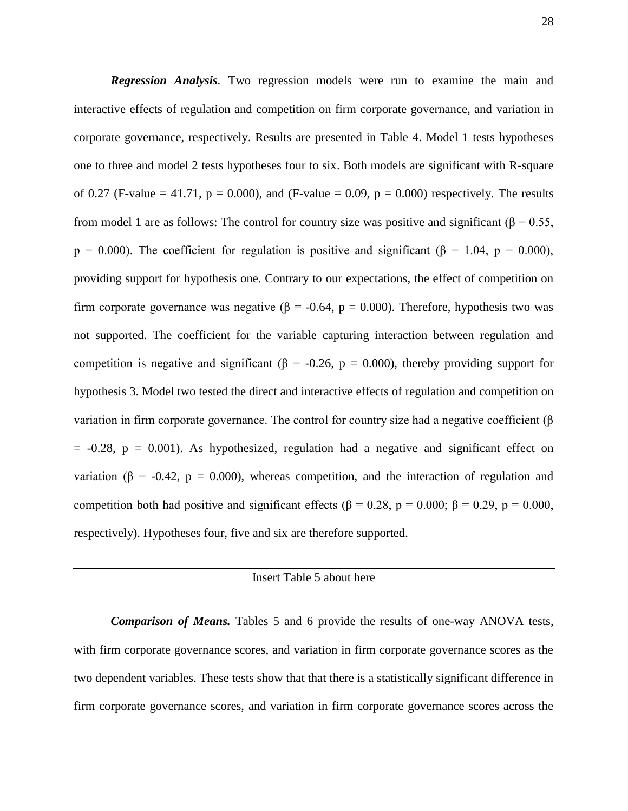*Regression Analysis.* Two regression models were run to examine the main and interactive effects of regulation and competition on firm corporate governance, and variation in corporate governance, respectively. Results are presented in Table 4. Model 1 tests hypotheses one to three and model 2 tests hypotheses four to six. Both models are significant with R-square of 0.27 (F-value = 41.71,  $p = 0.000$ ), and (F-value = 0.09,  $p = 0.000$ ) respectively. The results from model 1 are as follows: The control for country size was positive and significant ( $\beta$  = 0.55,  $p = 0.000$ ). The coefficient for regulation is positive and significant ( $\beta = 1.04$ ,  $p = 0.000$ ), providing support for hypothesis one. Contrary to our expectations, the effect of competition on firm corporate governance was negative ( $\beta$  = -0.64, p = 0.000). Therefore, hypothesis two was not supported. The coefficient for the variable capturing interaction between regulation and competition is negative and significant ( $\beta$  = -0.26, p = 0.000), thereby providing support for hypothesis 3. Model two tested the direct and interactive effects of regulation and competition on variation in firm corporate governance. The control for country size had a negative coefficient (β  $= -0.28$ ,  $p = 0.001$ ). As hypothesized, regulation had a negative and significant effect on variation ( $\beta$  = -0.42,  $p$  = 0.000), whereas competition, and the interaction of regulation and competition both had positive and significant effects ( $\beta = 0.28$ ,  $p = 0.000$ ;  $\beta = 0.29$ ,  $p = 0.000$ , respectively). Hypotheses four, five and six are therefore supported.

### Insert Table 5 about here

*Comparison of Means.* Tables 5 and 6 provide the results of one-way ANOVA tests, with firm corporate governance scores, and variation in firm corporate governance scores as the two dependent variables. These tests show that that there is a statistically significant difference in firm corporate governance scores, and variation in firm corporate governance scores across the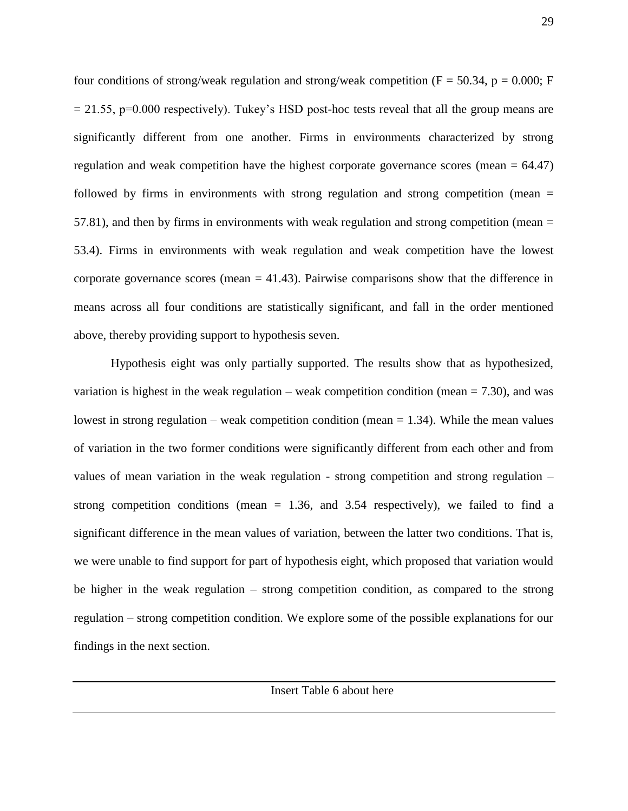four conditions of strong/weak regulation and strong/weak competition ( $F = 50.34$ ,  $p = 0.000$ ; F  $= 21.55$ , p=0.000 respectively). Tukey's HSD post-hoc tests reveal that all the group means are significantly different from one another. Firms in environments characterized by strong regulation and weak competition have the highest corporate governance scores (mean  $= 64.47$ ) followed by firms in environments with strong regulation and strong competition (mean = 57.81), and then by firms in environments with weak regulation and strong competition (mean = 53.4). Firms in environments with weak regulation and weak competition have the lowest corporate governance scores (mean  $= 41.43$ ). Pairwise comparisons show that the difference in means across all four conditions are statistically significant, and fall in the order mentioned above, thereby providing support to hypothesis seven.

Hypothesis eight was only partially supported. The results show that as hypothesized, variation is highest in the weak regulation – weak competition condition (mean  $= 7.30$ ), and was lowest in strong regulation – weak competition condition (mean  $= 1.34$ ). While the mean values of variation in the two former conditions were significantly different from each other and from values of mean variation in the weak regulation - strong competition and strong regulation – strong competition conditions (mean  $= 1.36$ , and 3.54 respectively), we failed to find a significant difference in the mean values of variation, between the latter two conditions. That is, we were unable to find support for part of hypothesis eight, which proposed that variation would be higher in the weak regulation – strong competition condition, as compared to the strong regulation – strong competition condition. We explore some of the possible explanations for our findings in the next section.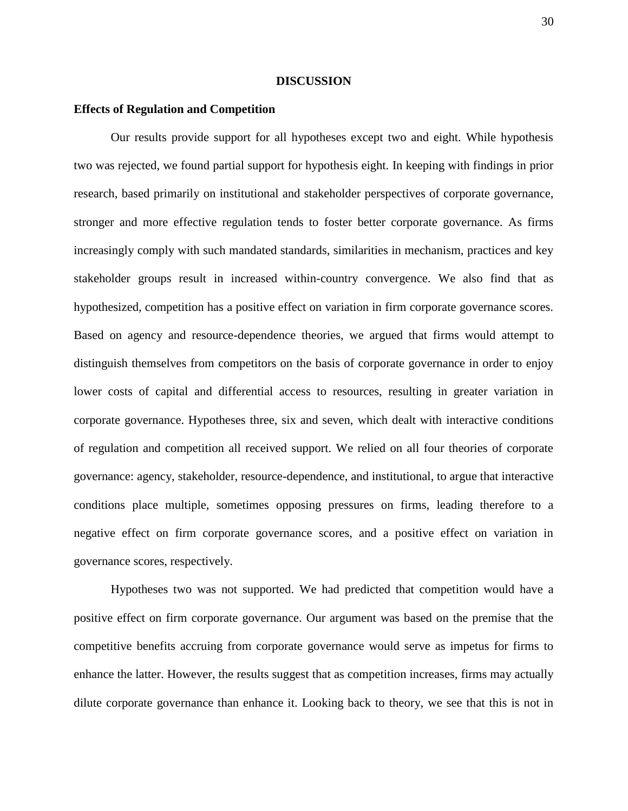### **DISCUSSION**

### **Effects of Regulation and Competition**

Our results provide support for all hypotheses except two and eight. While hypothesis two was rejected, we found partial support for hypothesis eight. In keeping with findings in prior research, based primarily on institutional and stakeholder perspectives of corporate governance, stronger and more effective regulation tends to foster better corporate governance. As firms increasingly comply with such mandated standards, similarities in mechanism, practices and key stakeholder groups result in increased within-country convergence. We also find that as hypothesized, competition has a positive effect on variation in firm corporate governance scores. Based on agency and resource-dependence theories, we argued that firms would attempt to distinguish themselves from competitors on the basis of corporate governance in order to enjoy lower costs of capital and differential access to resources, resulting in greater variation in corporate governance. Hypotheses three, six and seven, which dealt with interactive conditions of regulation and competition all received support. We relied on all four theories of corporate governance: agency, stakeholder, resource-dependence, and institutional, to argue that interactive conditions place multiple, sometimes opposing pressures on firms, leading therefore to a negative effect on firm corporate governance scores, and a positive effect on variation in governance scores, respectively.

Hypotheses two was not supported. We had predicted that competition would have a positive effect on firm corporate governance. Our argument was based on the premise that the competitive benefits accruing from corporate governance would serve as impetus for firms to enhance the latter. However, the results suggest that as competition increases, firms may actually dilute corporate governance than enhance it. Looking back to theory, we see that this is not in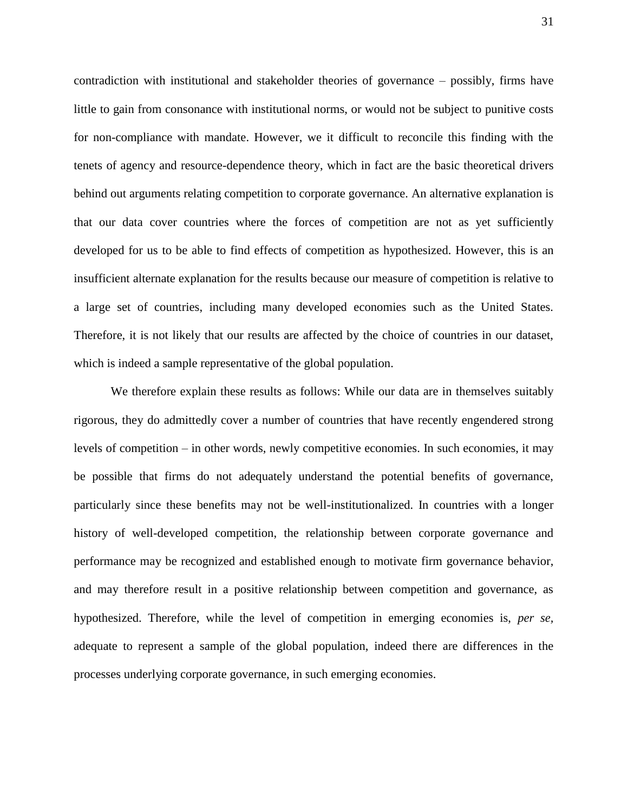contradiction with institutional and stakeholder theories of governance – possibly, firms have little to gain from consonance with institutional norms, or would not be subject to punitive costs for non-compliance with mandate. However, we it difficult to reconcile this finding with the tenets of agency and resource-dependence theory, which in fact are the basic theoretical drivers behind out arguments relating competition to corporate governance. An alternative explanation is that our data cover countries where the forces of competition are not as yet sufficiently developed for us to be able to find effects of competition as hypothesized. However, this is an insufficient alternate explanation for the results because our measure of competition is relative to a large set of countries, including many developed economies such as the United States. Therefore, it is not likely that our results are affected by the choice of countries in our dataset, which is indeed a sample representative of the global population.

We therefore explain these results as follows: While our data are in themselves suitably rigorous, they do admittedly cover a number of countries that have recently engendered strong levels of competition – in other words, newly competitive economies. In such economies, it may be possible that firms do not adequately understand the potential benefits of governance, particularly since these benefits may not be well-institutionalized. In countries with a longer history of well-developed competition, the relationship between corporate governance and performance may be recognized and established enough to motivate firm governance behavior, and may therefore result in a positive relationship between competition and governance, as hypothesized. Therefore, while the level of competition in emerging economies is, *per se,* adequate to represent a sample of the global population, indeed there are differences in the processes underlying corporate governance, in such emerging economies.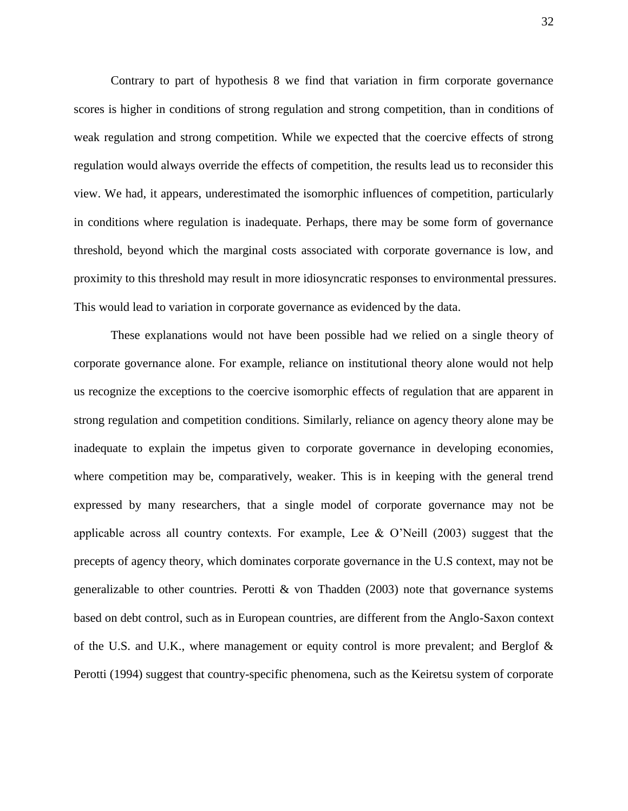Contrary to part of hypothesis 8 we find that variation in firm corporate governance scores is higher in conditions of strong regulation and strong competition, than in conditions of weak regulation and strong competition. While we expected that the coercive effects of strong regulation would always override the effects of competition, the results lead us to reconsider this view. We had, it appears, underestimated the isomorphic influences of competition, particularly in conditions where regulation is inadequate. Perhaps, there may be some form of governance threshold, beyond which the marginal costs associated with corporate governance is low, and proximity to this threshold may result in more idiosyncratic responses to environmental pressures. This would lead to variation in corporate governance as evidenced by the data.

These explanations would not have been possible had we relied on a single theory of corporate governance alone. For example, reliance on institutional theory alone would not help us recognize the exceptions to the coercive isomorphic effects of regulation that are apparent in strong regulation and competition conditions. Similarly, reliance on agency theory alone may be inadequate to explain the impetus given to corporate governance in developing economies, where competition may be, comparatively, weaker. This is in keeping with the general trend expressed by many researchers, that a single model of corporate governance may not be applicable across all country contexts. For example, Lee  $\&$  O'Neill (2003) suggest that the precepts of agency theory, which dominates corporate governance in the U.S context, may not be generalizable to other countries. Perotti  $\&$  von Thadden (2003) note that governance systems based on debt control, such as in European countries, are different from the Anglo-Saxon context of the U.S. and U.K., where management or equity control is more prevalent; and Berglof & Perotti (1994) suggest that country-specific phenomena, such as the Keiretsu system of corporate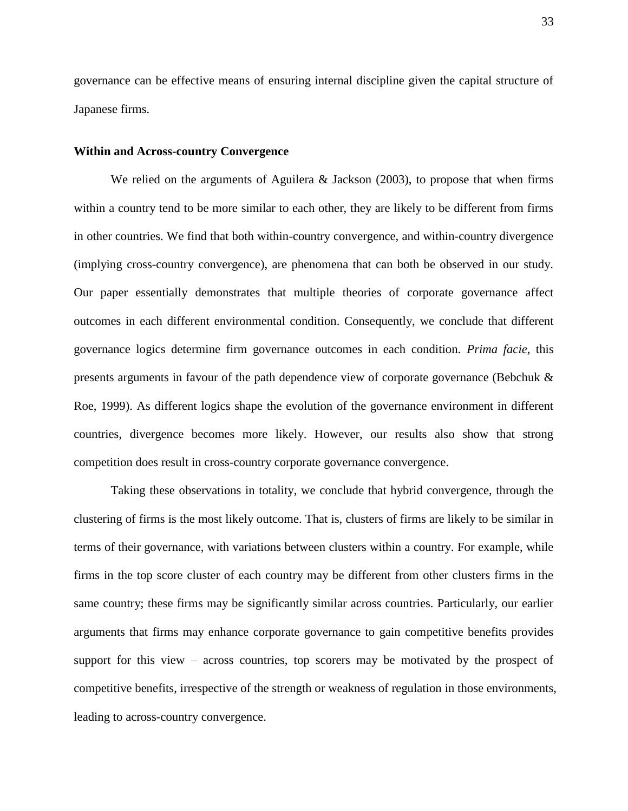governance can be effective means of ensuring internal discipline given the capital structure of Japanese firms.

### **Within and Across-country Convergence**

We relied on the arguments of Aguilera & Jackson (2003), to propose that when firms within a country tend to be more similar to each other, they are likely to be different from firms in other countries. We find that both within-country convergence, and within-country divergence (implying cross-country convergence), are phenomena that can both be observed in our study. Our paper essentially demonstrates that multiple theories of corporate governance affect outcomes in each different environmental condition. Consequently, we conclude that different governance logics determine firm governance outcomes in each condition. *Prima facie*, this presents arguments in favour of the path dependence view of corporate governance (Bebchuk & Roe, 1999). As different logics shape the evolution of the governance environment in different countries, divergence becomes more likely. However, our results also show that strong competition does result in cross-country corporate governance convergence.

Taking these observations in totality, we conclude that hybrid convergence, through the clustering of firms is the most likely outcome. That is, clusters of firms are likely to be similar in terms of their governance, with variations between clusters within a country. For example, while firms in the top score cluster of each country may be different from other clusters firms in the same country; these firms may be significantly similar across countries. Particularly, our earlier arguments that firms may enhance corporate governance to gain competitive benefits provides support for this view – across countries, top scorers may be motivated by the prospect of competitive benefits, irrespective of the strength or weakness of regulation in those environments, leading to across-country convergence.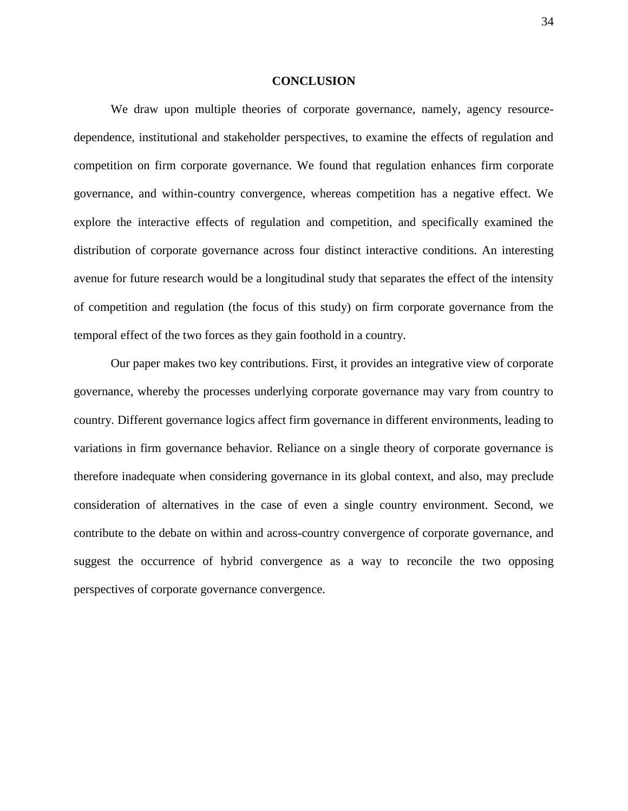#### **CONCLUSION**

We draw upon multiple theories of corporate governance, namely, agency resourcedependence, institutional and stakeholder perspectives, to examine the effects of regulation and competition on firm corporate governance. We found that regulation enhances firm corporate governance, and within-country convergence, whereas competition has a negative effect. We explore the interactive effects of regulation and competition, and specifically examined the distribution of corporate governance across four distinct interactive conditions. An interesting avenue for future research would be a longitudinal study that separates the effect of the intensity of competition and regulation (the focus of this study) on firm corporate governance from the temporal effect of the two forces as they gain foothold in a country.

Our paper makes two key contributions. First, it provides an integrative view of corporate governance, whereby the processes underlying corporate governance may vary from country to country. Different governance logics affect firm governance in different environments, leading to variations in firm governance behavior. Reliance on a single theory of corporate governance is therefore inadequate when considering governance in its global context, and also, may preclude consideration of alternatives in the case of even a single country environment. Second, we contribute to the debate on within and across-country convergence of corporate governance, and suggest the occurrence of hybrid convergence as a way to reconcile the two opposing perspectives of corporate governance convergence.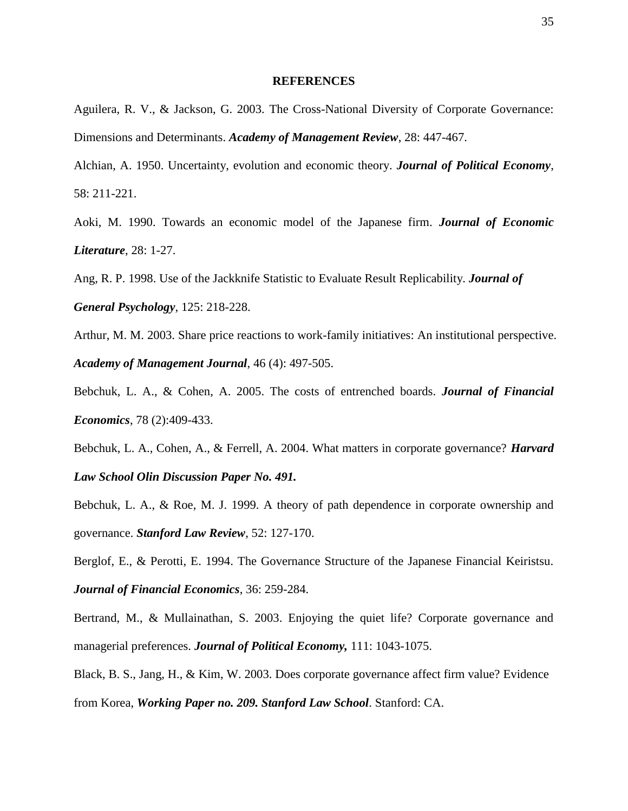### **REFERENCES**

Aguilera, R. V., & Jackson, G. 2003. The Cross-National Diversity of Corporate Governance: Dimensions and Determinants. *Academy of Management Review*, 28: 447-467.

Alchian, A. 1950. Uncertainty, evolution and economic theory. *Journal of Political Economy*, 58: 211-221.

Aoki, M. 1990. Towards an economic model of the Japanese firm. *Journal of Economic Literature*, 28: 1-27.

Ang, R. P. 1998. Use of the Jackknife Statistic to Evaluate Result Replicability. *Journal of General Psychology*, 125: 218-228.

Arthur, M. M. 2003. Share price reactions to work-family initiatives: An institutional perspective. *Academy of Management Journal*, 46 (4): 497-505.

Bebchuk, L. A., & Cohen, A. 2005. The costs of entrenched boards. *Journal of Financial Economics*, 78 (2):409-433.

Bebchuk, L. A., Cohen, A., & Ferrell, A. 2004. What matters in corporate governance? *Harvard Law School Olin Discussion Paper No. 491.*

Bebchuk, L. A., & Roe, M. J. 1999. A theory of path dependence in corporate ownership and governance. *Stanford Law Review*, 52: 127-170.

Berglof, E., & Perotti, E. 1994. The Governance Structure of the Japanese Financial Keiristsu. *Journal of Financial Economics*, 36: 259-284.

Bertrand, M., & Mullainathan, S. 2003. Enjoying the quiet life? Corporate governance and managerial preferences. *Journal of Political Economy,* 111: 1043-1075.

Black, B. S., Jang, H., & Kim, W. 2003. Does corporate governance affect firm value? Evidence from Korea, *Working Paper no. 209. Stanford Law School*. Stanford: CA.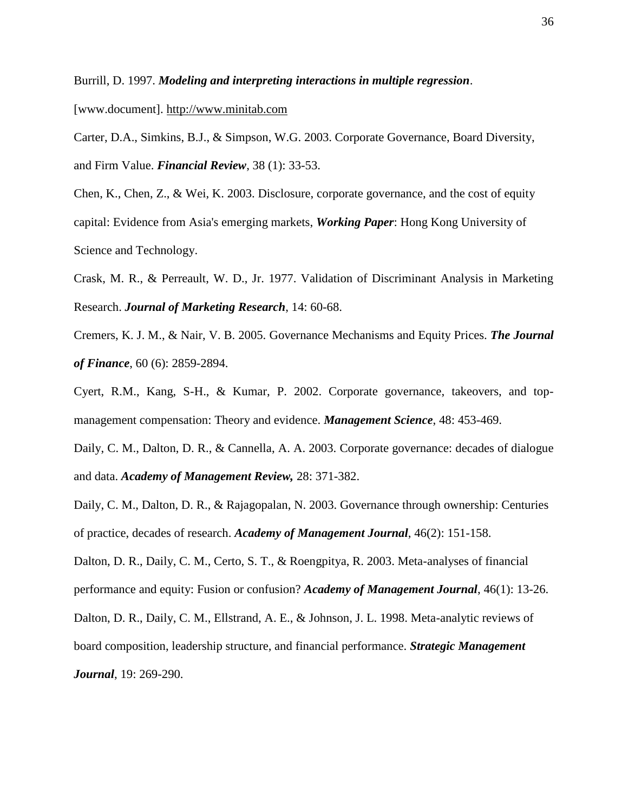Burrill, D. 1997. *Modeling and interpreting interactions in multiple regression*.

[www.document]. [http://www.minitab.com](http://www.minitab.com/)

Carter, D.A., Simkins, B.J., & Simpson, W.G. 2003. Corporate Governance, Board Diversity, and Firm Value. *Financial Review*, 38 (1): 33-53.

Chen, K., Chen, Z., & Wei, K. 2003. Disclosure, corporate governance, and the cost of equity capital: Evidence from Asia's emerging markets, *Working Paper*: Hong Kong University of Science and Technology.

Crask, M. R., & Perreault, W. D., Jr. 1977. Validation of Discriminant Analysis in Marketing Research. *Journal of Marketing Research*, 14: 60-68.

Cremers, K. J. M., & Nair, V. B. 2005. Governance Mechanisms and Equity Prices. *The Journal of Finance*, 60 (6): 2859-2894.

Cyert, R.M., Kang, S-H., & Kumar, P. 2002. Corporate governance, takeovers, and topmanagement compensation: Theory and evidence. *Management Science*, 48: 453-469.

Daily, C. M., Dalton, D. R., & Cannella, A. A. 2003. Corporate governance: decades of dialogue and data. *Academy of Management Review,* 28: 371-382.

Daily, C. M., Dalton, D. R., & Rajagopalan, N. 2003. Governance through ownership: Centuries of practice, decades of research. *Academy of Management Journal*, 46(2): 151-158.

Dalton, D. R., Daily, C. M., Certo, S. T., & Roengpitya, R. 2003. Meta-analyses of financial performance and equity: Fusion or confusion? *Academy of Management Journal*, 46(1): 13-26.

Dalton, D. R., Daily, C. M., Ellstrand, A. E., & Johnson, J. L. 1998. Meta-analytic reviews of

board composition, leadership structure, and financial performance. *Strategic Management Journal*, 19: 269-290.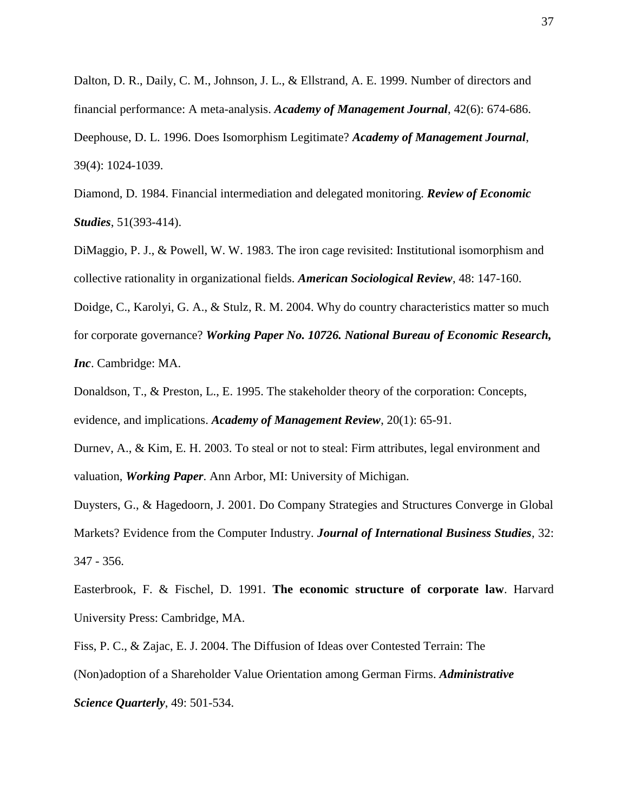Dalton, D. R., Daily, C. M., Johnson, J. L., & Ellstrand, A. E. 1999. Number of directors and financial performance: A meta-analysis. *Academy of Management Journal*, 42(6): 674-686. Deephouse, D. L. 1996. Does Isomorphism Legitimate? *Academy of Management Journal*, 39(4): 1024-1039.

Diamond, D. 1984. Financial intermediation and delegated monitoring. *Review of Economic Studies*, 51(393-414).

DiMaggio, P. J., & Powell, W. W. 1983. The iron cage revisited: Institutional isomorphism and collective rationality in organizational fields. *American Sociological Review*, 48: 147-160.

Doidge, C., Karolyi, G. A., & Stulz, R. M. 2004. Why do country characteristics matter so much for corporate governance? *Working Paper No. 10726. National Bureau of Economic Research, Inc*. Cambridge: MA.

Donaldson, T., & Preston, L., E. 1995. The stakeholder theory of the corporation: Concepts, evidence, and implications. *Academy of Management Review*, 20(1): 65-91.

Durnev, A., & Kim, E. H. 2003. To steal or not to steal: Firm attributes, legal environment and valuation, *Working Paper*. Ann Arbor, MI: University of Michigan.

Duysters, G., & Hagedoorn, J. 2001. Do Company Strategies and Structures Converge in Global Markets? Evidence from the Computer Industry. *Journal of International Business Studies*, 32: 347 - 356.

Easterbrook, F. & Fischel, D. 1991. **The economic structure of corporate law**. Harvard University Press: Cambridge, MA.

Fiss, P. C., & Zajac, E. J. 2004. The Diffusion of Ideas over Contested Terrain: The (Non)adoption of a Shareholder Value Orientation among German Firms. *Administrative Science Quarterly*, 49: 501-534.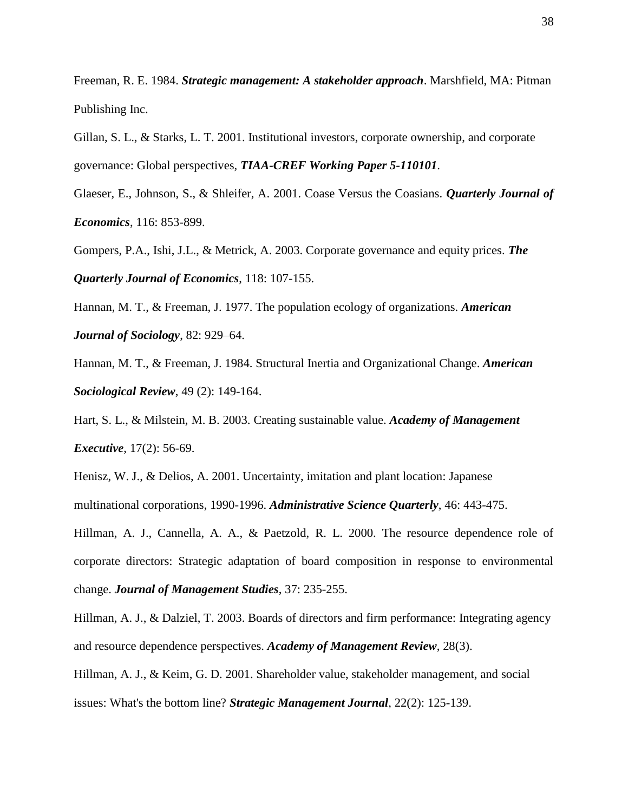Freeman, R. E. 1984. *Strategic management: A stakeholder approach*. Marshfield, MA: Pitman Publishing Inc.

Gillan, S. L., & Starks, L. T. 2001. Institutional investors, corporate ownership, and corporate governance: Global perspectives, *TIAA-CREF Working Paper 5-110101*.

Glaeser, E., Johnson, S., & Shleifer, A. 2001. Coase Versus the Coasians. *Quarterly Journal of Economics*, 116: 853-899.

Gompers, P.A., Ishi, J.L., & Metrick, A. 2003. Corporate governance and equity prices. *The Quarterly Journal of Economics*, 118: 107-155.

Hannan, M. T., & Freeman, J. 1977. The population ecology of organizations. *American Journal of Sociology*, 82: 929–64.

Hannan, M. T., & Freeman, J. 1984. Structural Inertia and Organizational Change. *American Sociological Review*, 49 (2): 149-164.

Hart, S. L., & Milstein, M. B. 2003. Creating sustainable value. *Academy of Management Executive*, 17(2): 56-69.

Henisz, W. J., & Delios, A. 2001. Uncertainty, imitation and plant location: Japanese multinational corporations, 1990-1996. *Administrative Science Quarterly*, 46: 443-475.

Hillman, A. J., Cannella, A. A., & Paetzold, R. L. 2000. The resource dependence role of corporate directors: Strategic adaptation of board composition in response to environmental change. *Journal of Management Studies*, 37: 235-255.

Hillman, A. J., & Dalziel, T. 2003. Boards of directors and firm performance: Integrating agency and resource dependence perspectives. *Academy of Management Review*, 28(3).

Hillman, A. J., & Keim, G. D. 2001. Shareholder value, stakeholder management, and social issues: What's the bottom line? *Strategic Management Journal*, 22(2): 125-139.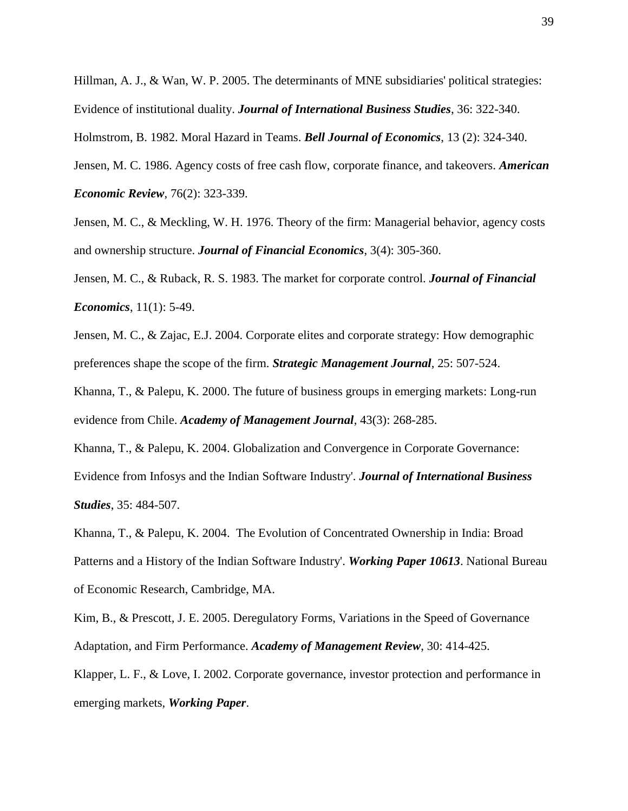Hillman, A. J., & Wan, W. P. 2005. The determinants of MNE subsidiaries' political strategies: Evidence of institutional duality. *Journal of International Business Studies*, 36: 322-340.

Holmstrom, B. 1982. Moral Hazard in Teams. *Bell Journal of Economics*, 13 (2): 324-340.

Jensen, M. C. 1986. Agency costs of free cash flow, corporate finance, and takeovers. *American Economic Review*, 76(2): 323-339.

Jensen, M. C., & Meckling, W. H. 1976. Theory of the firm: Managerial behavior, agency costs and ownership structure. *Journal of Financial Economics*, 3(4): 305-360.

Jensen, M. C., & Ruback, R. S. 1983. The market for corporate control. *Journal of Financial Economics*, 11(1): 5-49.

Jensen, M. C., & Zajac, E.J. 2004. Corporate elites and corporate strategy: How demographic preferences shape the scope of the firm. *Strategic Management Journal*, 25: 507-524.

Khanna, T., & Palepu, K. 2000. The future of business groups in emerging markets: Long-run evidence from Chile. *Academy of Management Journal*, 43(3): 268-285.

Khanna, T., & Palepu, K. 2004. Globalization and Convergence in Corporate Governance: Evidence from Infosys and the Indian Software Industry'. *Journal of International Business Studies*, 35: 484-507.

Khanna, T., & Palepu, K. 2004. The Evolution of Concentrated Ownership in India: Broad Patterns and a History of the Indian Software Industry'. *Working Paper 10613*. National Bureau of Economic Research, Cambridge, MA.

Kim, B., & Prescott, J. E. 2005. Deregulatory Forms, Variations in the Speed of Governance Adaptation, and Firm Performance. *Academy of Management Review*, 30: 414-425.

Klapper, L. F., & Love, I. 2002. Corporate governance, investor protection and performance in emerging markets, *Working Paper*.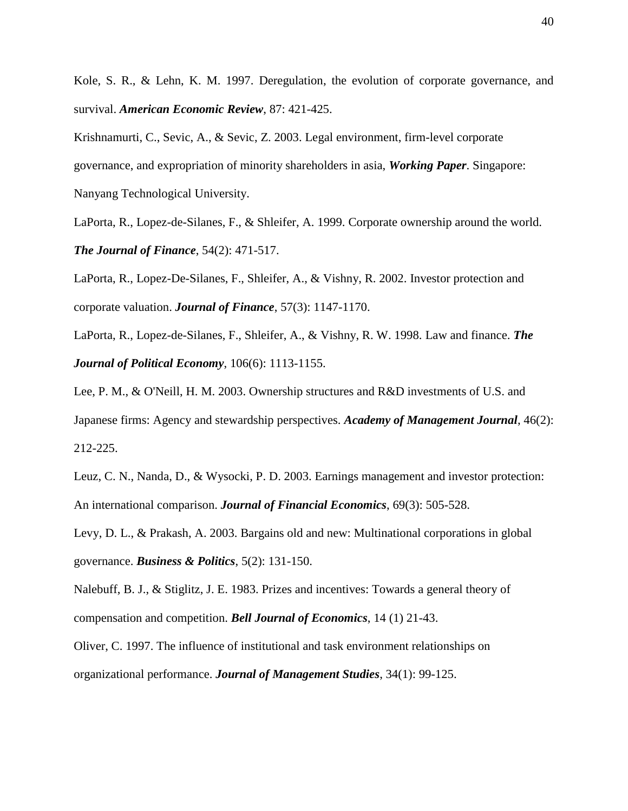Kole, S. R., & Lehn, K. M. 1997. Deregulation, the evolution of corporate governance, and survival. *American Economic Review*, 87: 421-425.

Krishnamurti, C., Sevic, A., & Sevic, Z. 2003. Legal environment, firm-level corporate governance, and expropriation of minority shareholders in asia, *Working Paper*. Singapore: Nanyang Technological University.

LaPorta, R., Lopez-de-Silanes, F., & Shleifer, A. 1999. Corporate ownership around the world. *The Journal of Finance*, 54(2): 471-517.

LaPorta, R., Lopez-De-Silanes, F., Shleifer, A., & Vishny, R. 2002. Investor protection and corporate valuation. *Journal of Finance*, 57(3): 1147-1170.

LaPorta, R., Lopez-de-Silanes, F., Shleifer, A., & Vishny, R. W. 1998. Law and finance. *The Journal of Political Economy*, 106(6): 1113-1155.

Lee, P. M., & O'Neill, H. M. 2003. Ownership structures and R&D investments of U.S. and Japanese firms: Agency and stewardship perspectives. *Academy of Management Journal*, 46(2): 212-225.

Leuz, C. N., Nanda, D., & Wysocki, P. D. 2003. Earnings management and investor protection: An international comparison. *Journal of Financial Economics*, 69(3): 505-528.

Levy, D. L., & Prakash, A. 2003. Bargains old and new: Multinational corporations in global governance. *Business & Politics*, 5(2): 131-150.

Nalebuff, B. J., & Stiglitz, J. E. 1983. Prizes and incentives: Towards a general theory of compensation and competition. *Bell Journal of Economics*, 14 (1) 21-43.

Oliver, C. 1997. The influence of institutional and task environment relationships on organizational performance. *Journal of Management Studies*, 34(1): 99-125.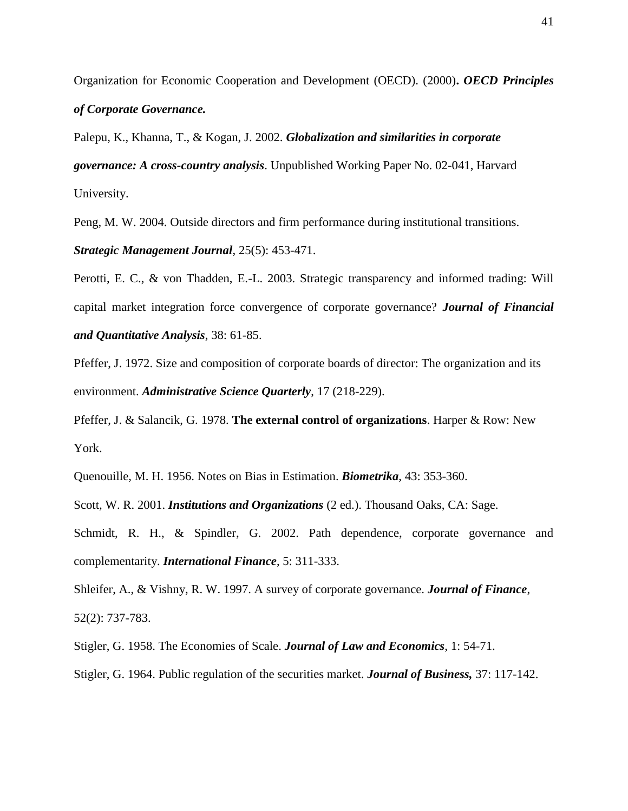Organization for Economic Cooperation and Development (OECD). (2000)**.** *OECD Principles of Corporate Governance.*

Palepu, K., Khanna, T., & Kogan, J. 2002. *Globalization and similarities in corporate governance: A cross-country analysis*. Unpublished Working Paper No. 02-041, Harvard University.

Peng, M. W. 2004. Outside directors and firm performance during institutional transitions.

*Strategic Management Journal*, 25(5): 453-471.

Perotti, E. C., & von Thadden, E.-L. 2003. Strategic transparency and informed trading: Will capital market integration force convergence of corporate governance? *Journal of Financial and Quantitative Analysis*, 38: 61-85.

Pfeffer, J. 1972. Size and composition of corporate boards of director: The organization and its environment. *Administrative Science Quarterly*, 17 (218-229).

Pfeffer, J. & Salancik, G. 1978. **The external control of organizations**. Harper & Row: New York.

Quenouille, M. H. 1956. Notes on Bias in Estimation. *Biometrika*, 43: 353-360.

Scott, W. R. 2001. *Institutions and Organizations* (2 ed.). Thousand Oaks, CA: Sage.

Schmidt, R. H., & Spindler, G. 2002. Path dependence, corporate governance and complementarity. *International Finance*, 5: 311-333.

Shleifer, A., & Vishny, R. W. 1997. A survey of corporate governance. *Journal of Finance*, 52(2): 737-783.

Stigler, G. 1958. The Economies of Scale. *Journal of Law and Economics*, 1: 54-71.

Stigler, G. 1964. Public regulation of the securities market. *Journal of Business,* 37: 117-142.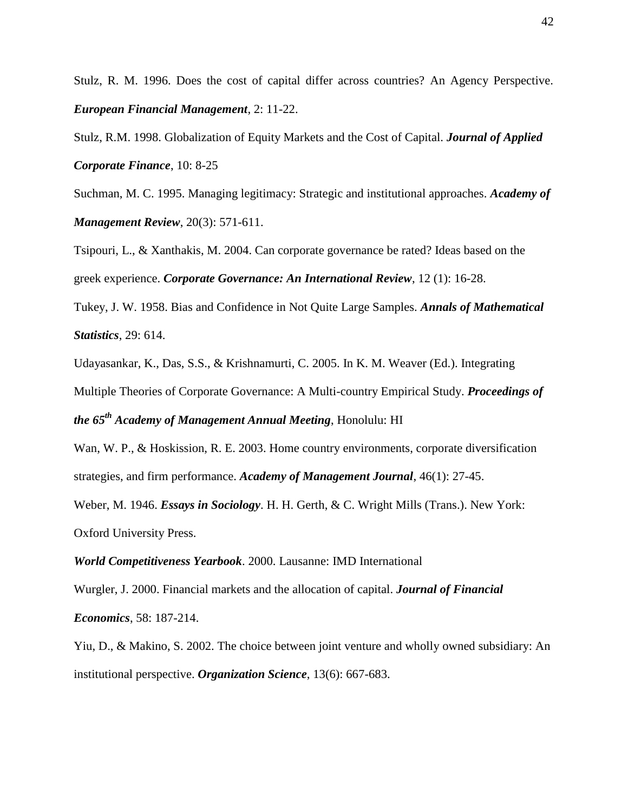Stulz, R. M. 1996. Does the cost of capital differ across countries? An Agency Perspective. *European Financial Management*, 2: 11-22.

Stulz, R.M. 1998. Globalization of Equity Markets and the Cost of Capital. *Journal of Applied Corporate Finance*, 10: 8-25

Suchman, M. C. 1995. Managing legitimacy: Strategic and institutional approaches. *Academy of Management Review*, 20(3): 571-611.

Tsipouri, L., & Xanthakis, M. 2004. Can corporate governance be rated? Ideas based on the greek experience. *Corporate Governance: An International Review*, 12 (1): 16-28.

Tukey, J. W. 1958. Bias and Confidence in Not Quite Large Samples. *Annals of Mathematical Statistics*, 29: 614.

Udayasankar, K., Das, S.S., & Krishnamurti, C. 2005. In K. M. Weaver (Ed.). Integrating

Multiple Theories of Corporate Governance: A Multi-country Empirical Study. *Proceedings of* 

*the 65th Academy of Management Annual Meeting*, Honolulu: HI

Wan, W. P., & Hoskission, R. E. 2003. Home country environments, corporate diversification strategies, and firm performance. *Academy of Management Journal*, 46(1): 27-45.

Weber, M. 1946. *Essays in Sociology*. H. H. Gerth, & C. Wright Mills (Trans.). New York: Oxford University Press.

*World Competitiveness Yearbook*. 2000. Lausanne: IMD International

Wurgler, J. 2000. Financial markets and the allocation of capital. *Journal of Financial Economics*, 58: 187-214.

Yiu, D., & Makino, S. 2002. The choice between joint venture and wholly owned subsidiary: An institutional perspective. *Organization Science*, 13(6): 667-683.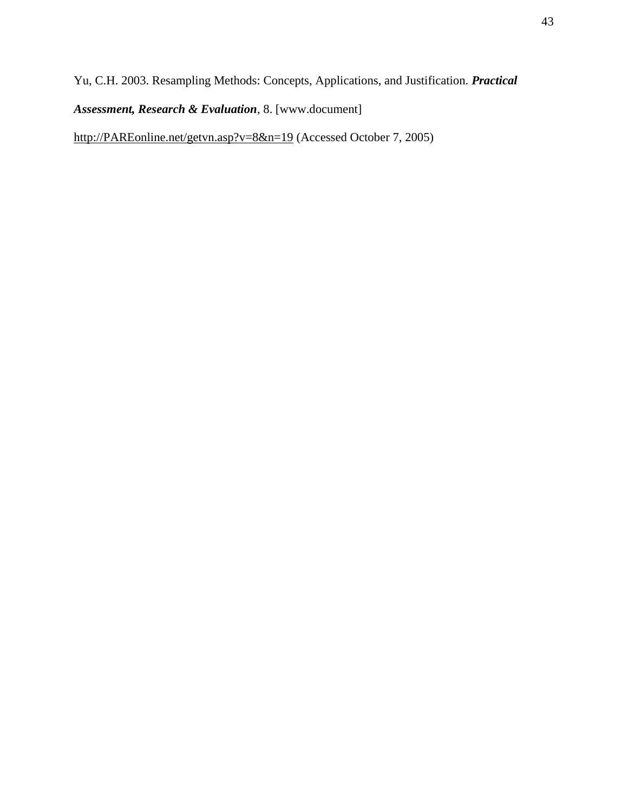Yu, C.H. 2003. Resampling Methods: Concepts, Applications, and Justification. *Practical*

*Assessment, Research & Evaluation*, 8. [www.document]

http://PAREonline.net/getvn.asp?v=8&n=19 (Accessed October 7, 2005)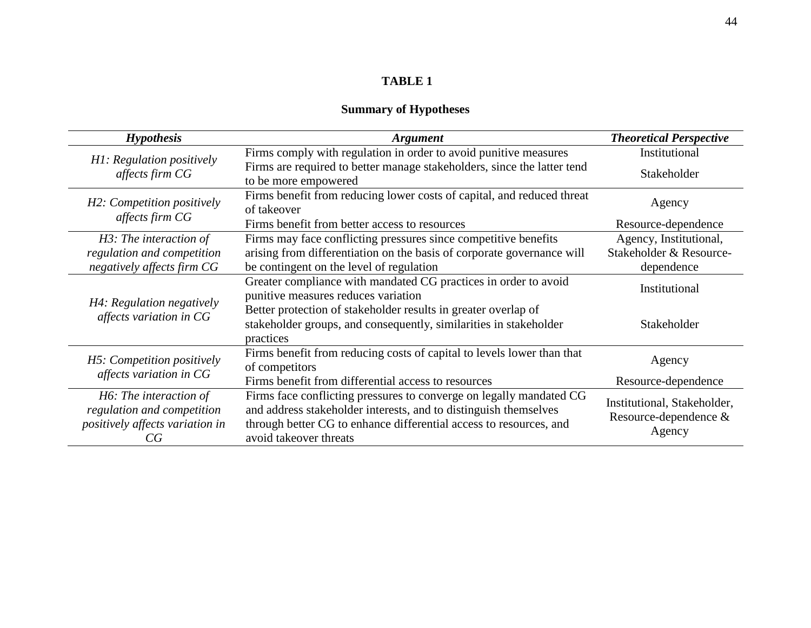## **Summary of Hypotheses**

| <b>Hypothesis</b>                                                                             | <b>Argument</b>                                                                                                                                                                                                                         | <b>Theoretical Perspective</b>                                 |  |
|-----------------------------------------------------------------------------------------------|-----------------------------------------------------------------------------------------------------------------------------------------------------------------------------------------------------------------------------------------|----------------------------------------------------------------|--|
| H1: Regulation positively                                                                     | Firms comply with regulation in order to avoid punitive measures                                                                                                                                                                        | Institutional                                                  |  |
| affects firm CG                                                                               | Firms are required to better manage stakeholders, since the latter tend<br>to be more empowered                                                                                                                                         | Stakeholder                                                    |  |
| H2: Competition positively<br>affects firm CG                                                 | Firms benefit from reducing lower costs of capital, and reduced threat<br>of takeover                                                                                                                                                   | Agency                                                         |  |
|                                                                                               | Firms benefit from better access to resources                                                                                                                                                                                           | Resource-dependence                                            |  |
| H3: The interaction of                                                                        | Firms may face conflicting pressures since competitive benefits                                                                                                                                                                         | Agency, Institutional,                                         |  |
| regulation and competition                                                                    | arising from differentiation on the basis of corporate governance will                                                                                                                                                                  | Stakeholder & Resource-                                        |  |
| negatively affects firm CG                                                                    | be contingent on the level of regulation                                                                                                                                                                                                | dependence                                                     |  |
|                                                                                               | Greater compliance with mandated CG practices in order to avoid<br>punitive measures reduces variation                                                                                                                                  | Institutional                                                  |  |
| H4: Regulation negatively<br>affects variation in CG                                          | Better protection of stakeholder results in greater overlap of<br>stakeholder groups, and consequently, similarities in stakeholder<br>practices                                                                                        | Stakeholder                                                    |  |
| H5: Competition positively                                                                    | Firms benefit from reducing costs of capital to levels lower than that<br>of competitors                                                                                                                                                | Agency                                                         |  |
| affects variation in CG                                                                       | Firms benefit from differential access to resources                                                                                                                                                                                     | Resource-dependence                                            |  |
| H6: The interaction of<br>regulation and competition<br>positively affects variation in<br>CG | Firms face conflicting pressures to converge on legally mandated CG<br>and address stakeholder interests, and to distinguish themselves<br>through better CG to enhance differential access to resources, and<br>avoid takeover threats | Institutional, Stakeholder,<br>Resource-dependence &<br>Agency |  |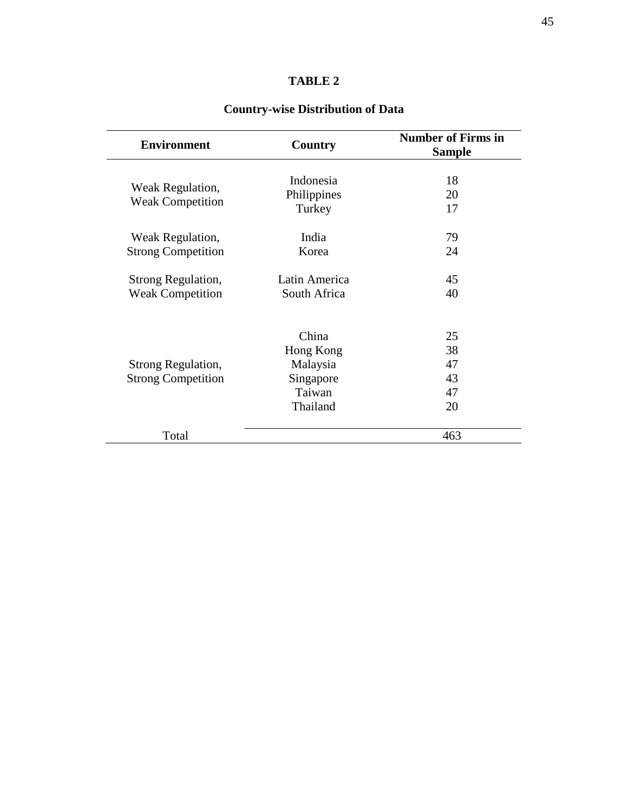| <b>Environment</b>        | Country       | <b>Number of Firms in</b><br><b>Sample</b> |  |  |
|---------------------------|---------------|--------------------------------------------|--|--|
|                           | Indonesia     |                                            |  |  |
| Weak Regulation,          |               | 18                                         |  |  |
| <b>Weak Competition</b>   | Philippines   | 20                                         |  |  |
|                           | Turkey        | 17                                         |  |  |
| Weak Regulation,          | India         | 79                                         |  |  |
| <b>Strong Competition</b> | Korea         | 24                                         |  |  |
| Strong Regulation,        | Latin America | 45                                         |  |  |
| <b>Weak Competition</b>   | South Africa  | 40                                         |  |  |
|                           |               |                                            |  |  |
|                           | China         | 25                                         |  |  |
|                           | Hong Kong     | 38                                         |  |  |
| Strong Regulation,        | Malaysia      | 47                                         |  |  |
| <b>Strong Competition</b> | Singapore     | 43                                         |  |  |
|                           | Taiwan        | 47                                         |  |  |
|                           | Thailand      | 20                                         |  |  |
| Total                     |               | 463                                        |  |  |

### **Country-wise Distribution of Data**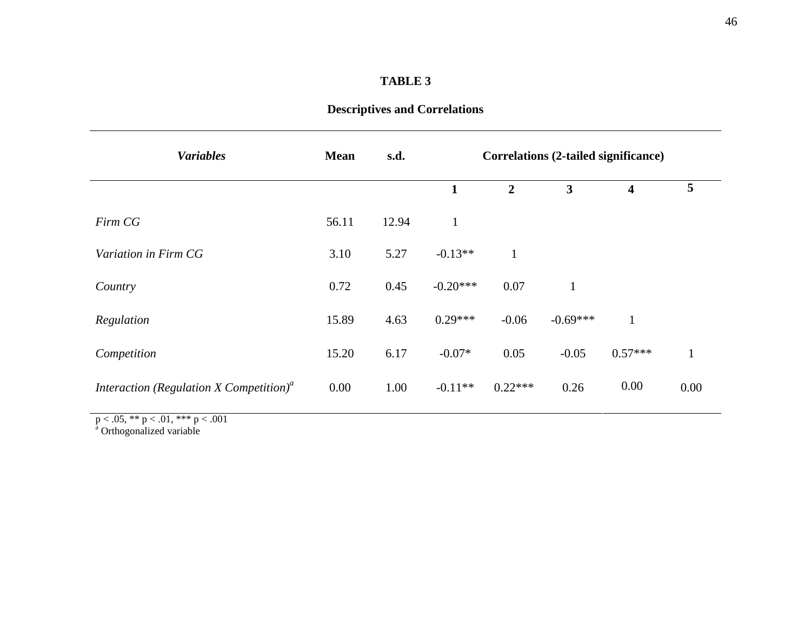| <b>Variables</b>                                                 | <b>Mean</b> | s.d.  | Correlations (2-tailed significance) |                |                         |                         |              |
|------------------------------------------------------------------|-------------|-------|--------------------------------------|----------------|-------------------------|-------------------------|--------------|
|                                                                  |             |       | $\mathbf{1}$                         | $\overline{2}$ | $\overline{\mathbf{3}}$ | $\overline{\mathbf{4}}$ | 5            |
| Firm CG                                                          | 56.11       | 12.94 | $\mathbf{1}$                         |                |                         |                         |              |
| Variation in Firm CG                                             | 3.10        | 5.27  | $-0.13**$                            | $\mathbf{1}$   |                         |                         |              |
| Country                                                          | 0.72        | 0.45  | $-0.20***$                           | 0.07           | $\mathbf{1}$            |                         |              |
| Regulation                                                       | 15.89       | 4.63  | $0.29***$                            | $-0.06$        | $-0.69***$              | $\mathbf{1}$            |              |
| Competition                                                      | 15.20       | 6.17  | $-0.07*$                             | 0.05           | $-0.05$                 | $0.57***$               | $\mathbf{1}$ |
| Interaction (Regulation X Competition) <sup><math>a</math></sup> | 0.00        | 1.00  | $-0.11**$                            | $0.22***$      | 0.26                    | 0.00                    | 0.00         |

 $p < .05$ , \*\*  $p < .01$ , \*\*\*  $p < .001$ 

<sup>a</sup> Orthogonalized variable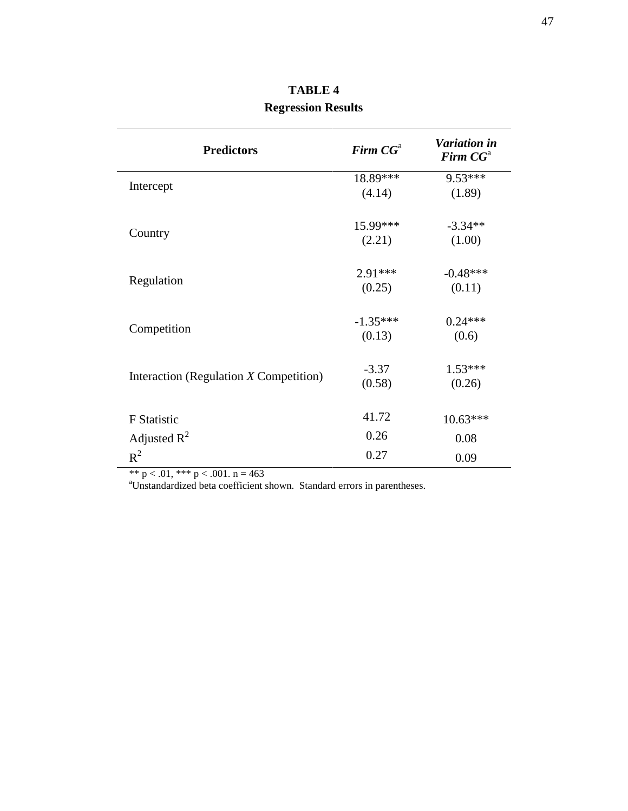| <b>Predictors</b>                        | Firm $CGa$ | <b>Variation in</b><br>Firm $CGa$ |
|------------------------------------------|------------|-----------------------------------|
|                                          | 18.89***   | $9.53***$                         |
| Intercept                                | (4.14)     | (1.89)                            |
|                                          | 15.99***   | $-3.34**$                         |
| Country                                  | (2.21)     | (1.00)                            |
|                                          | $2.91***$  | $-0.48***$                        |
| Regulation                               | (0.25)     | (0.11)                            |
|                                          | $-1.35***$ | $0.24***$                         |
| Competition                              | (0.13)     | (0.6)                             |
|                                          | $-3.37$    | $1.53***$                         |
| Interaction (Regulation $X$ Competition) | (0.58)     | (0.26)                            |
| <b>F</b> Statistic                       | 41.72      | $10.63***$                        |
| Adjusted $R^2$                           | 0.26       | 0.08                              |
| $R^2$                                    | 0.27       | 0.09                              |

**TABLE 4 Regression Results**

\*\*  $p < .01$ , \*\*\*  $p < .001$ .  $n = 463$ 

<sup>a</sup>Unstandardized beta coefficient shown. Standard errors in parentheses.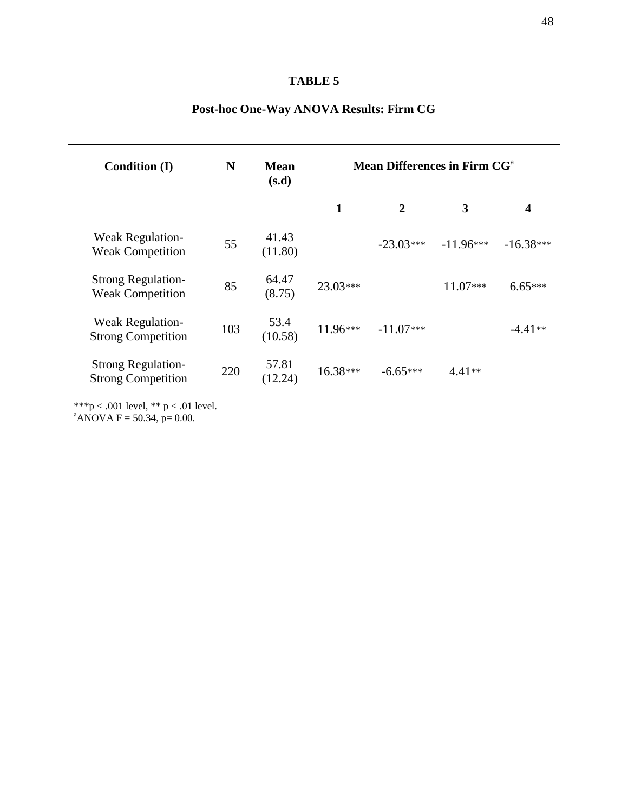| <b>Condition (I)</b>                                   | N   | <b>Mean</b><br>(s.d) | Mean Differences in Firm CG <sup>a</sup> |                |             |             |
|--------------------------------------------------------|-----|----------------------|------------------------------------------|----------------|-------------|-------------|
|                                                        |     |                      | 1                                        | $\overline{2}$ | 3           | 4           |
| <b>Weak Regulation-</b><br><b>Weak Competition</b>     | 55  | 41.43<br>(11.80)     |                                          | $-23.03***$    | $-11.96***$ | $-16.38***$ |
| <b>Strong Regulation-</b><br><b>Weak Competition</b>   | 85  | 64.47<br>(8.75)      | 23.03***                                 |                | $11.07***$  | $6.65***$   |
| <b>Weak Regulation-</b><br><b>Strong Competition</b>   | 103 | 53.4<br>(10.58)      | $11.96***$                               | $-11.07***$    |             | $-4.41**$   |
| <b>Strong Regulation-</b><br><b>Strong Competition</b> | 220 | 57.81<br>(12.24)     | 16.38***                                 | $-6.65***$     | $4.41**$    |             |

### **Post-hoc One-Way ANOVA Results: Firm CG**

\*\*\*p < .001 level, \*\* p < .01 level.

 $ANOVA$  F = 50.34, p= 0.00.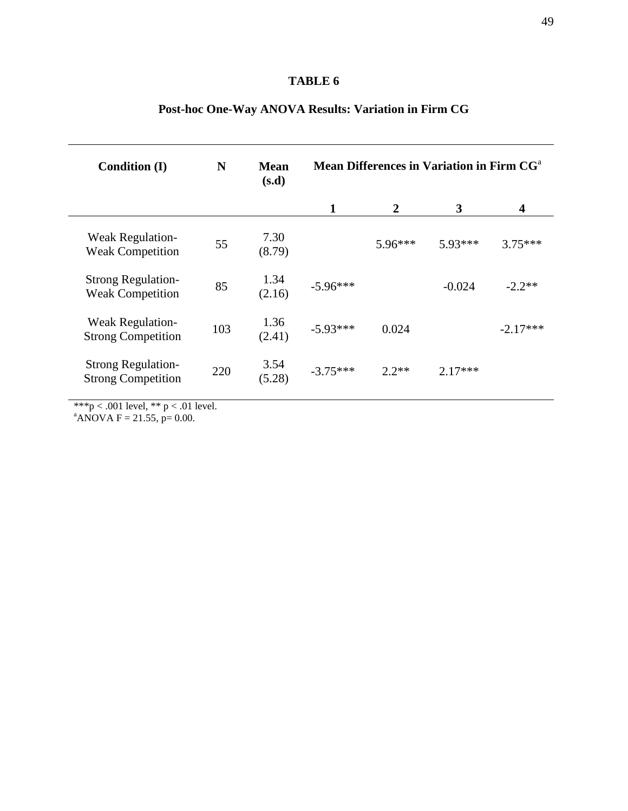| <b>Condition (I)</b>                                   | N   | <b>Mean</b><br>(s.d) | Mean Differences in Variation in Firm CG <sup>a</sup> |                  |           |            |
|--------------------------------------------------------|-----|----------------------|-------------------------------------------------------|------------------|-----------|------------|
|                                                        |     |                      | 1                                                     | $\boldsymbol{2}$ | 3         | 4          |
| <b>Weak Regulation-</b><br><b>Weak Competition</b>     | 55  | 7.30<br>(8.79)       |                                                       | $5.96***$        | $5.93***$ | $3.75***$  |
| <b>Strong Regulation-</b><br><b>Weak Competition</b>   | 85  | 1.34<br>(2.16)       | $-5.96***$                                            |                  | $-0.024$  | $-2.2**$   |
| Weak Regulation-<br><b>Strong Competition</b>          | 103 | 1.36<br>(2.41)       | $-5.93***$                                            | 0.024            |           | $-2.17***$ |
| <b>Strong Regulation-</b><br><b>Strong Competition</b> | 220 | 3.54<br>(5.28)       | $-3.75***$                                            | $2.2**$          | $2.17***$ |            |
|                                                        |     |                      |                                                       |                  |           |            |

### **Post-hoc One-Way ANOVA Results: Variation in Firm CG**

\*\*\*p < .001 level, \*\* p < .01 level.

 $ANOVA$  F = 21.55, p= 0.00.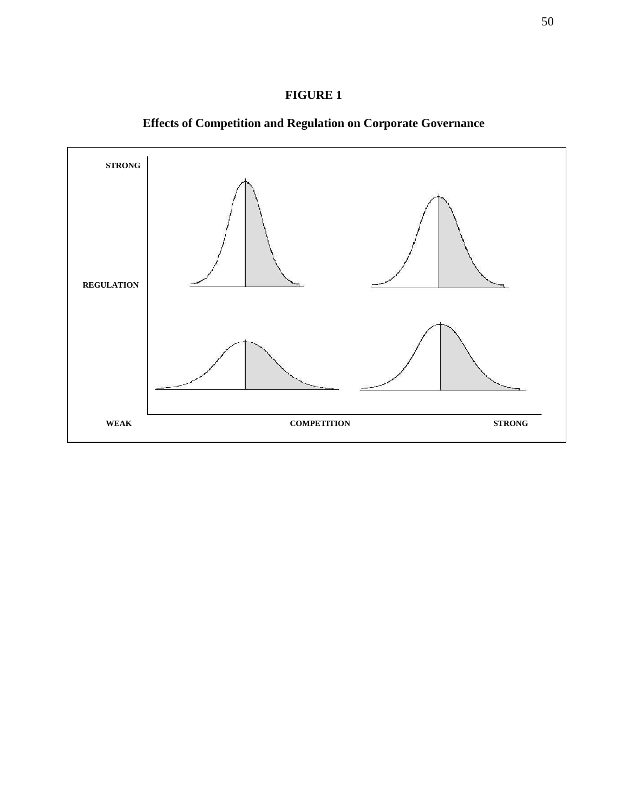



**Effects of Competition and Regulation on Corporate Governance**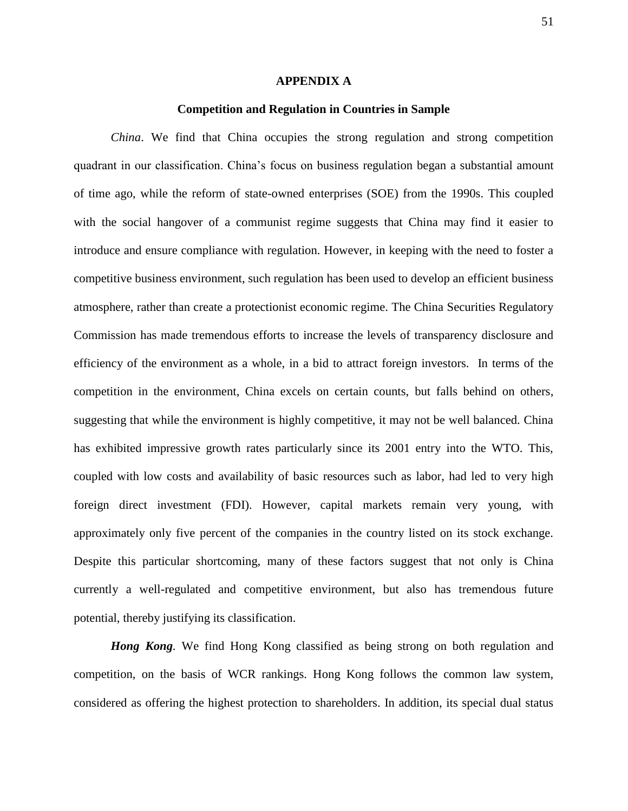#### **APPENDIX A**

### **Competition and Regulation in Countries in Sample**

*China*. We find that China occupies the strong regulation and strong competition quadrant in our classification. China"s focus on business regulation began a substantial amount of time ago, while the reform of state-owned enterprises (SOE) from the 1990s. This coupled with the social hangover of a communist regime suggests that China may find it easier to introduce and ensure compliance with regulation. However, in keeping with the need to foster a competitive business environment, such regulation has been used to develop an efficient business atmosphere, rather than create a protectionist economic regime. The China Securities Regulatory Commission has made tremendous efforts to increase the levels of transparency disclosure and efficiency of the environment as a whole, in a bid to attract foreign investors. In terms of the competition in the environment, China excels on certain counts, but falls behind on others, suggesting that while the environment is highly competitive, it may not be well balanced. China has exhibited impressive growth rates particularly since its 2001 entry into the WTO. This, coupled with low costs and availability of basic resources such as labor, had led to very high foreign direct investment (FDI). However, capital markets remain very young, with approximately only five percent of the companies in the country listed on its stock exchange. Despite this particular shortcoming, many of these factors suggest that not only is China currently a well-regulated and competitive environment, but also has tremendous future potential, thereby justifying its classification.

*Hong Kong.* We find Hong Kong classified as being strong on both regulation and competition, on the basis of WCR rankings. Hong Kong follows the common law system, considered as offering the highest protection to shareholders. In addition, its special dual status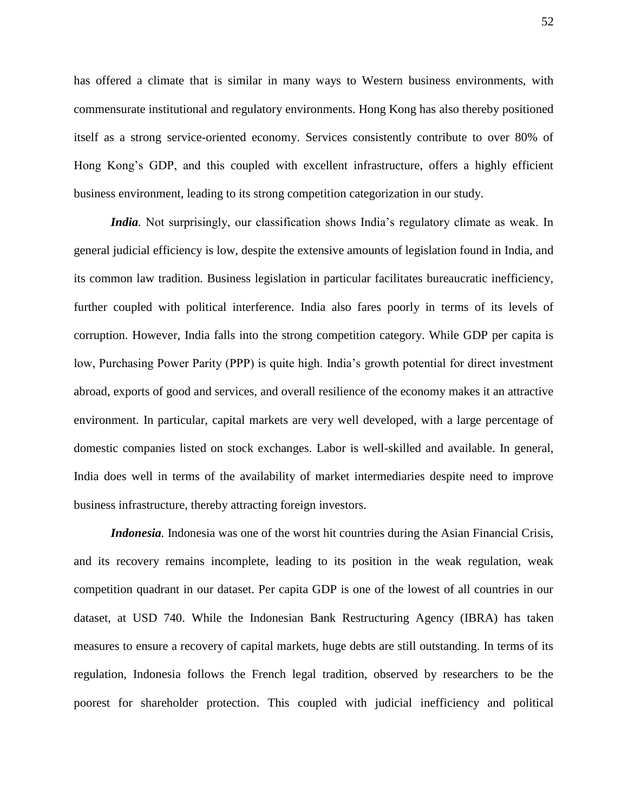has offered a climate that is similar in many ways to Western business environments, with commensurate institutional and regulatory environments. Hong Kong has also thereby positioned itself as a strong service-oriented economy. Services consistently contribute to over 80% of Hong Kong"s GDP, and this coupled with excellent infrastructure, offers a highly efficient business environment, leading to its strong competition categorization in our study.

*India*. Not surprisingly, our classification shows India's regulatory climate as weak. In general judicial efficiency is low, despite the extensive amounts of legislation found in India, and its common law tradition. Business legislation in particular facilitates bureaucratic inefficiency, further coupled with political interference. India also fares poorly in terms of its levels of corruption. However, India falls into the strong competition category. While GDP per capita is low, Purchasing Power Parity (PPP) is quite high. India"s growth potential for direct investment abroad, exports of good and services, and overall resilience of the economy makes it an attractive environment. In particular, capital markets are very well developed, with a large percentage of domestic companies listed on stock exchanges. Labor is well-skilled and available. In general, India does well in terms of the availability of market intermediaries despite need to improve business infrastructure, thereby attracting foreign investors.

*Indonesia.* Indonesia was one of the worst hit countries during the Asian Financial Crisis, and its recovery remains incomplete, leading to its position in the weak regulation, weak competition quadrant in our dataset. Per capita GDP is one of the lowest of all countries in our dataset, at USD 740. While the Indonesian Bank Restructuring Agency (IBRA) has taken measures to ensure a recovery of capital markets, huge debts are still outstanding. In terms of its regulation, Indonesia follows the French legal tradition, observed by researchers to be the poorest for shareholder protection. This coupled with judicial inefficiency and political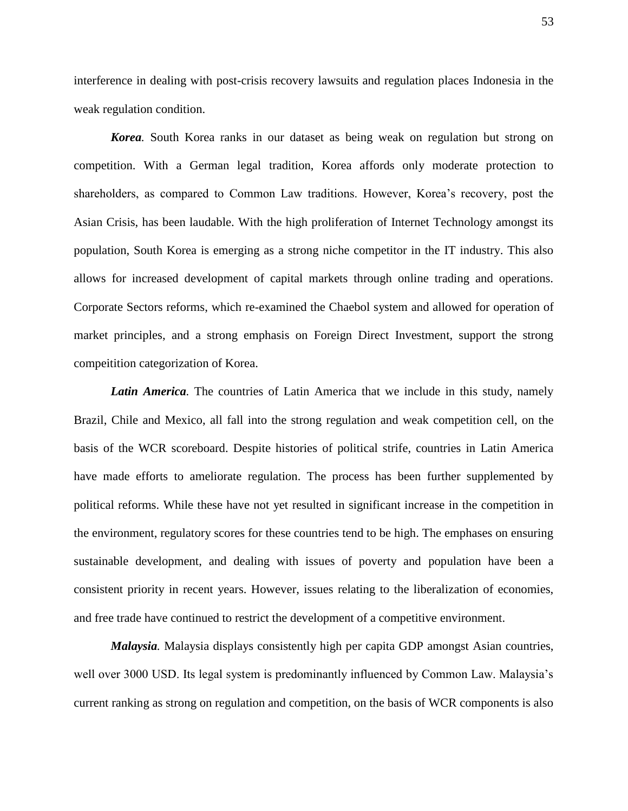interference in dealing with post-crisis recovery lawsuits and regulation places Indonesia in the weak regulation condition.

*Korea.* South Korea ranks in our dataset as being weak on regulation but strong on competition. With a German legal tradition, Korea affords only moderate protection to shareholders, as compared to Common Law traditions. However, Korea"s recovery, post the Asian Crisis, has been laudable. With the high proliferation of Internet Technology amongst its population, South Korea is emerging as a strong niche competitor in the IT industry. This also allows for increased development of capital markets through online trading and operations. Corporate Sectors reforms, which re-examined the Chaebol system and allowed for operation of market principles, and a strong emphasis on Foreign Direct Investment, support the strong compeitition categorization of Korea.

Latin America. The countries of Latin America that we include in this study, namely Brazil, Chile and Mexico, all fall into the strong regulation and weak competition cell, on the basis of the WCR scoreboard. Despite histories of political strife, countries in Latin America have made efforts to ameliorate regulation. The process has been further supplemented by political reforms. While these have not yet resulted in significant increase in the competition in the environment, regulatory scores for these countries tend to be high. The emphases on ensuring sustainable development, and dealing with issues of poverty and population have been a consistent priority in recent years. However, issues relating to the liberalization of economies, and free trade have continued to restrict the development of a competitive environment.

*Malaysia.* Malaysia displays consistently high per capita GDP amongst Asian countries, well over 3000 USD. Its legal system is predominantly influenced by Common Law. Malaysia's current ranking as strong on regulation and competition, on the basis of WCR components is also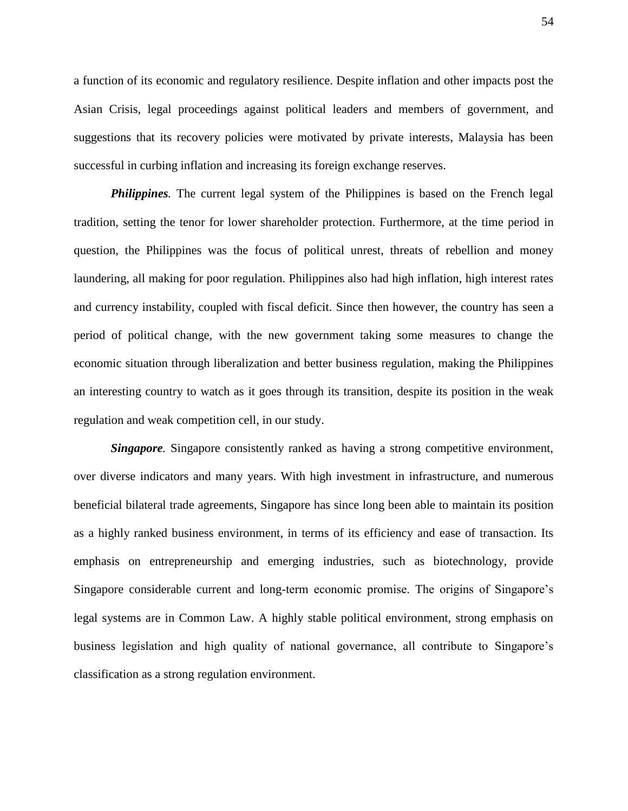a function of its economic and regulatory resilience. Despite inflation and other impacts post the Asian Crisis, legal proceedings against political leaders and members of government, and suggestions that its recovery policies were motivated by private interests, Malaysia has been successful in curbing inflation and increasing its foreign exchange reserves.

**Philippines**. The current legal system of the Philippines is based on the French legal tradition, setting the tenor for lower shareholder protection. Furthermore, at the time period in question, the Philippines was the focus of political unrest, threats of rebellion and money laundering, all making for poor regulation. Philippines also had high inflation, high interest rates and currency instability, coupled with fiscal deficit. Since then however, the country has seen a period of political change, with the new government taking some measures to change the economic situation through liberalization and better business regulation, making the Philippines an interesting country to watch as it goes through its transition, despite its position in the weak regulation and weak competition cell, in our study.

*Singapore*. Singapore consistently ranked as having a strong competitive environment, over diverse indicators and many years. With high investment in infrastructure, and numerous beneficial bilateral trade agreements, Singapore has since long been able to maintain its position as a highly ranked business environment, in terms of its efficiency and ease of transaction. Its emphasis on entrepreneurship and emerging industries, such as biotechnology, provide Singapore considerable current and long-term economic promise. The origins of Singapore"s legal systems are in Common Law. A highly stable political environment, strong emphasis on business legislation and high quality of national governance, all contribute to Singapore"s classification as a strong regulation environment.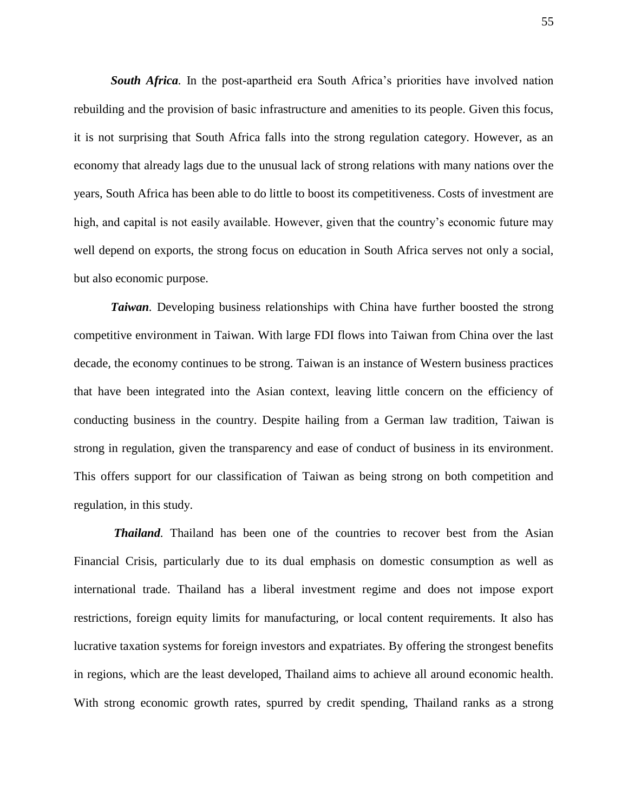*South Africa.* In the post-apartheid era South Africa"s priorities have involved nation rebuilding and the provision of basic infrastructure and amenities to its people. Given this focus, it is not surprising that South Africa falls into the strong regulation category. However, as an economy that already lags due to the unusual lack of strong relations with many nations over the years, South Africa has been able to do little to boost its competitiveness. Costs of investment are high, and capital is not easily available. However, given that the country's economic future may well depend on exports, the strong focus on education in South Africa serves not only a social, but also economic purpose.

*Taiwan*. Developing business relationships with China have further boosted the strong competitive environment in Taiwan. With large FDI flows into Taiwan from China over the last decade, the economy continues to be strong. Taiwan is an instance of Western business practices that have been integrated into the Asian context, leaving little concern on the efficiency of conducting business in the country. Despite hailing from a German law tradition, Taiwan is strong in regulation, given the transparency and ease of conduct of business in its environment. This offers support for our classification of Taiwan as being strong on both competition and regulation, in this study.

*Thailand.* Thailand has been one of the countries to recover best from the Asian Financial Crisis, particularly due to its dual emphasis on domestic consumption as well as international trade. Thailand has a liberal investment regime and does not impose export restrictions, foreign equity limits for manufacturing, or local content requirements. It also has lucrative taxation systems for foreign investors and expatriates. By offering the strongest benefits in regions, which are the least developed, Thailand aims to achieve all around economic health. With strong economic growth rates, spurred by credit spending, Thailand ranks as a strong